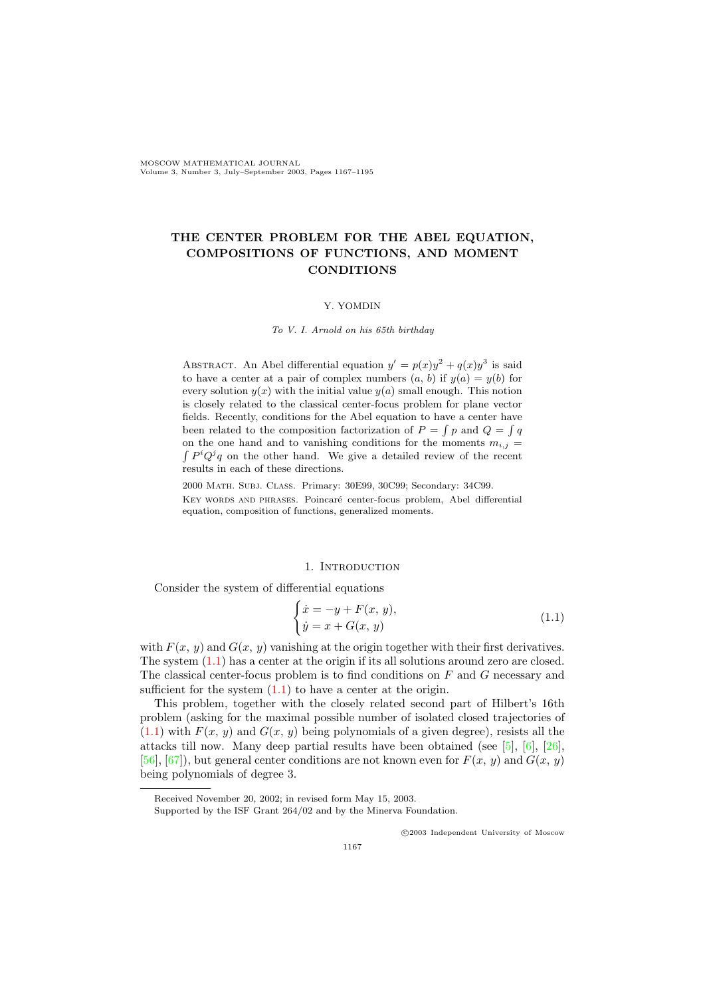MOSCOW MATHEMATICAL JOURNAL Volume 3, Number 3, July–September 2003, Pages 1167–1195

# THE CENTER PROBLEM FOR THE ABEL EQUATION, COMPOSITIONS OF FUNCTIONS, AND MOMENT **CONDITIONS**

# Y. YOMDIN

To V. I. Arnold on his 65th birthday

ABSTRACT. An Abel differential equation  $y' = p(x)y^2 + q(x)y^3$  is said to have a center at a pair of complex numbers  $(a, b)$  if  $y(a) = y(b)$  for every solution  $y(x)$  with the initial value  $y(a)$  small enough. This notion is closely related to the classical center-focus problem for plane vector fields. Recently, conditions for the Abel equation to have a center have been related to the composition factorization of  $P = \int p$  and  $Q = \int q$ on the one hand and to vanishing conditions for the moments  $m_{i,j} =$  $\int P^i Q^j q$  on the other hand. We give a detailed review of the recent results in each of these directions.

2000 Math. Subj. Class. Primary: 30E99, 30C99; Secondary: 34C99. KEY WORDS AND PHRASES. Poincaré center-focus problem, Abel differential equation, composition of functions, generalized moments.

## <span id="page-0-0"></span>1. INTRODUCTION

Consider the system of differential equations

$$
\begin{cases}\n\dot{x} = -y + F(x, y), \\
\dot{y} = x + G(x, y)\n\end{cases} \tag{1.1}
$$

with  $F(x, y)$  and  $G(x, y)$  vanishing at the origin together with their first derivatives. The system  $(1.1)$  has a center at the origin if its all solutions around zero are closed. The classical center-focus problem is to find conditions on F and G necessary and sufficient for the system  $(1.1)$  to have a center at the origin.

This problem, together with the closely related second part of Hilbert's 16th problem (asking for the maximal possible number of isolated closed trajectories of  $(1.1)$  with  $F(x, y)$  and  $G(x, y)$  being polynomials of a given degree), resists all the attacks till now. Many deep partial results have been obtained (see [\[5\]](#page-25-0), [\[6\]](#page-25-1), [\[26\]](#page-26-0), [\[56\]](#page-27-0), [\[67\]](#page-28-0)), but general center conditions are not known even for  $F(x, y)$  and  $G(x, y)$ being polynomials of degree 3.

c 2003 Independent University of Moscow

Received November 20, 2002; in revised form May 15, 2003.

Supported by the ISF Grant 264/02 and by the Minerva Foundation.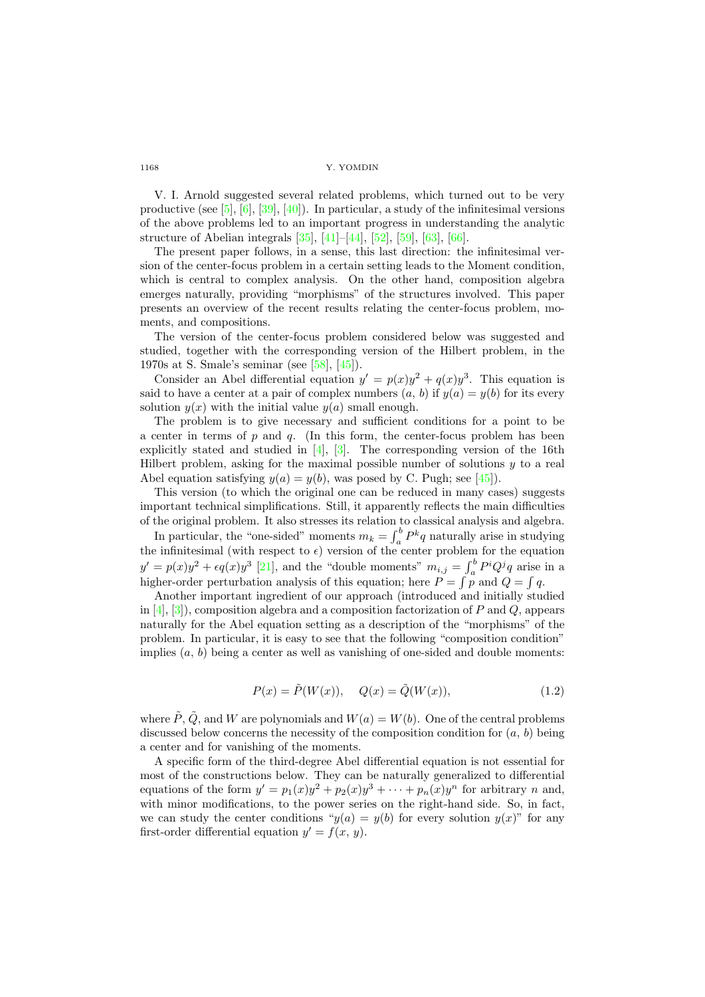V. I. Arnold suggested several related problems, which turned out to be very productive (see [\[5\]](#page-25-0), [\[6\]](#page-25-1), [\[39\]](#page-27-1), [\[40\]](#page-27-2)). In particular, a study of the infinitesimal versions of the above problems led to an important progress in understanding the analytic structure of Abelian integrals [\[35\]](#page-27-3), [\[41\]](#page-27-4)–[\[44\]](#page-27-5), [\[52\]](#page-27-6), [\[59\]](#page-28-1), [\[63\]](#page-28-2), [\[66\]](#page-28-3).

The present paper follows, in a sense, this last direction: the infinitesimal version of the center-focus problem in a certain setting leads to the Moment condition, which is central to complex analysis. On the other hand, composition algebra emerges naturally, providing "morphisms" of the structures involved. This paper presents an overview of the recent results relating the center-focus problem, moments, and compositions.

The version of the center-focus problem considered below was suggested and studied, together with the corresponding version of the Hilbert problem, in the 1970s at S. Smale's seminar (see [\[58\]](#page-28-4), [\[45\]](#page-27-7)).

Consider an Abel differential equation  $y' = p(x)y^2 + q(x)y^3$ . This equation is said to have a center at a pair of complex numbers  $(a, b)$  if  $y(a) = y(b)$  for its every solution  $y(x)$  with the initial value  $y(a)$  small enough.

The problem is to give necessary and sufficient conditions for a point to be a center in terms of p and q. (In this form, the center-focus problem has been explicitly stated and studied in [\[4\]](#page-25-2), [\[3\]](#page-25-3). The corresponding version of the 16th Hilbert problem, asking for the maximal possible number of solutions  $y$  to a real Abel equation satisfying  $y(a) = y(b)$ , was posed by C. Pugh; see [\[45\]](#page-27-7)).

This version (to which the original one can be reduced in many cases) suggests important technical simplifications. Still, it apparently reflects the main difficulties of the original problem. It also stresses its relation to classical analysis and algebra.

In particular, the "one-sided" moments  $m_k = \int_a^b P^k q$  naturally arise in studying the infinitesimal (with respect to  $\epsilon$ ) version of the center problem for the equation  $y' = p(x)y^2 + \epsilon q(x)y^3$  [\[21\]](#page-26-1), and the "double moments"  $m_{i,j} = \int_a^b P^i Q^j q$  arise in a higher-order perturbation analysis of this equation; here  $P = \int p$  and  $Q = \int q$ .

Another important ingredient of our approach (introduced and initially studied in  $[4]$ ,  $[3]$ ), composition algebra and a composition factorization of P and Q, appears naturally for the Abel equation setting as a description of the "morphisms" of the problem. In particular, it is easy to see that the following "composition condition" implies  $(a, b)$  being a center as well as vanishing of one-sided and double moments:

$$
P(x) = \tilde{P}(W(x)), \quad Q(x) = \tilde{Q}(W(x)), \tag{1.2}
$$

where  $\tilde{P}, \tilde{Q}$ , and W are polynomials and  $W(a) = W(b)$ . One of the central problems discussed below concerns the necessity of the composition condition for  $(a, b)$  being a center and for vanishing of the moments.

A specific form of the third-degree Abel differential equation is not essential for most of the constructions below. They can be naturally generalized to differential equations of the form  $y' = p_1(x)y^2 + p_2(x)y^3 + \cdots + p_n(x)y^n$  for arbitrary n and, with minor modifications, to the power series on the right-hand side. So, in fact, we can study the center conditions " $y(a) = y(b)$  for every solution  $y(x)$ " for any first-order differential equation  $y' = f(x, y)$ .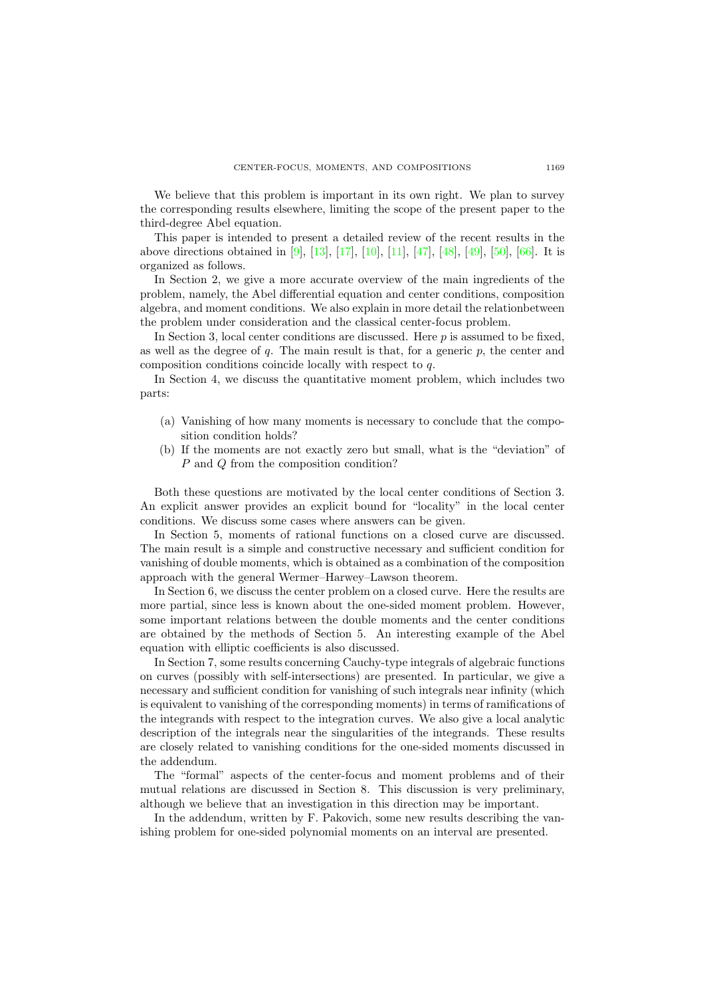We believe that this problem is important in its own right. We plan to survey the corresponding results elsewhere, limiting the scope of the present paper to the third-degree Abel equation.

This paper is intended to present a detailed review of the recent results in the above directions obtained in [\[9\]](#page-25-4), [\[13\]](#page-26-2), [\[17\]](#page-26-3), [\[10\]](#page-26-4), [\[11\]](#page-26-5), [\[47\]](#page-27-8), [\[48\]](#page-27-9), [\[49\]](#page-27-10), [\[50\]](#page-27-11), [\[66\]](#page-28-3). It is organized as follows.

In Section 2, we give a more accurate overview of the main ingredients of the problem, namely, the Abel differential equation and center conditions, composition algebra, and moment conditions. We also explain in more detail the relationbetween the problem under consideration and the classical center-focus problem.

In Section 3, local center conditions are discussed. Here  $p$  is assumed to be fixed, as well as the degree of q. The main result is that, for a generic  $p$ , the center and composition conditions coincide locally with respect to q.

In Section 4, we discuss the quantitative moment problem, which includes two parts:

- (a) Vanishing of how many moments is necessary to conclude that the composition condition holds?
- (b) If the moments are not exactly zero but small, what is the "deviation" of P and Q from the composition condition?

Both these questions are motivated by the local center conditions of Section 3. An explicit answer provides an explicit bound for "locality" in the local center conditions. We discuss some cases where answers can be given.

In Section 5, moments of rational functions on a closed curve are discussed. The main result is a simple and constructive necessary and sufficient condition for vanishing of double moments, which is obtained as a combination of the composition approach with the general Wermer–Harwey–Lawson theorem.

In Section 6, we discuss the center problem on a closed curve. Here the results are more partial, since less is known about the one-sided moment problem. However, some important relations between the double moments and the center conditions are obtained by the methods of Section 5. An interesting example of the Abel equation with elliptic coefficients is also discussed.

In Section 7, some results concerning Cauchy-type integrals of algebraic functions on curves (possibly with self-intersections) are presented. In particular, we give a necessary and sufficient condition for vanishing of such integrals near infinity (which is equivalent to vanishing of the corresponding moments) in terms of ramifications of the integrands with respect to the integration curves. We also give a local analytic description of the integrals near the singularities of the integrands. These results are closely related to vanishing conditions for the one-sided moments discussed in the addendum.

The "formal" aspects of the center-focus and moment problems and of their mutual relations are discussed in Section 8. This discussion is very preliminary, although we believe that an investigation in this direction may be important.

In the addendum, written by F. Pakovich, some new results describing the vanishing problem for one-sided polynomial moments on an interval are presented.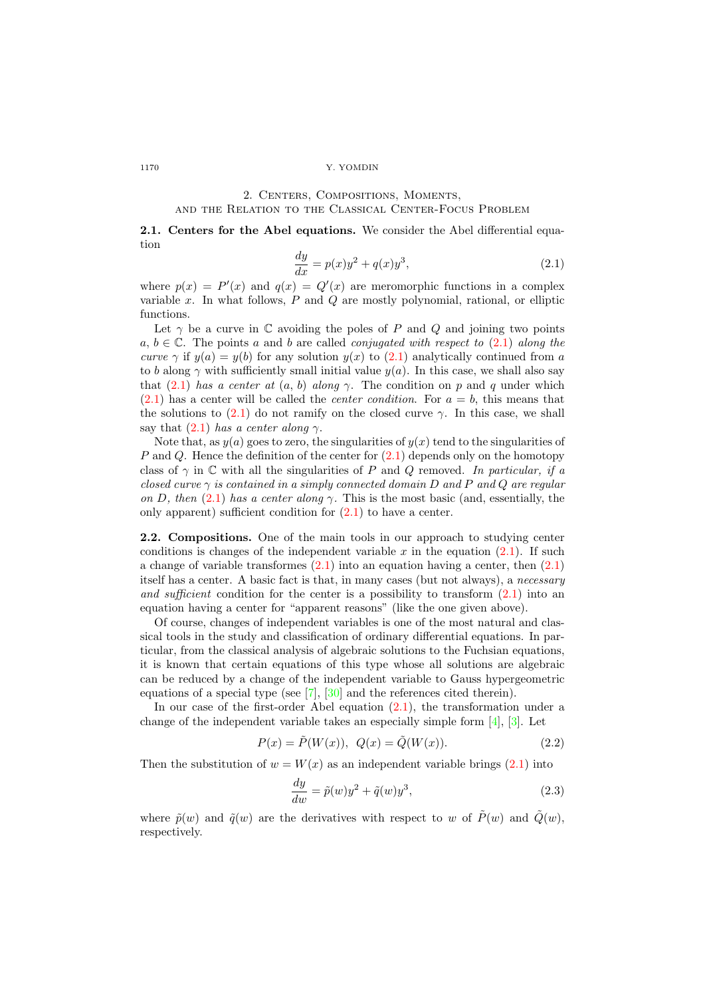# 2. Centers, Compositions, Moments,

# and the Relation to the Classical Center-Focus Problem

<span id="page-3-0"></span>2.1. Centers for the Abel equations. We consider the Abel differential equation

$$
\frac{dy}{dx} = p(x)y^2 + q(x)y^3,
$$
\n(2.1)

where  $p(x) = P'(x)$  and  $q(x) = Q'(x)$  are meromorphic functions in a complex variable x. In what follows,  $P$  and  $Q$  are mostly polynomial, rational, or elliptic functions.

Let  $\gamma$  be a curve in  $\mathbb C$  avoiding the poles of P and Q and joining two points  $a, b \in \mathbb{C}$ . The points a and b are called *conjugated with respect to* [\(2.1\)](#page-3-0) along the curve  $\gamma$  if  $y(a) = y(b)$  for any solution  $y(x)$  to  $(2.1)$  analytically continued from a to b along  $\gamma$  with sufficiently small initial value  $y(a)$ . In this case, we shall also say that  $(2.1)$  has a center at  $(a, b)$  along  $\gamma$ . The condition on p and q under which  $(2.1)$  has a center will be called the *center condition*. For  $a = b$ , this means that the solutions to [\(2.1\)](#page-3-0) do not ramify on the closed curve  $\gamma$ . In this case, we shall say that  $(2.1)$  has a center along  $\gamma$ .

Note that, as  $y(a)$  goes to zero, the singularities of  $y(x)$  tend to the singularities of P and Q. Hence the definition of the center for  $(2.1)$  depends only on the homotopy class of  $\gamma$  in  $\mathbb C$  with all the singularities of P and Q removed. In particular, if a closed curve  $\gamma$  is contained in a simply connected domain D and P and Q are regular on D, then [\(2.1\)](#page-3-0) has a center along  $\gamma$ . This is the most basic (and, essentially, the only apparent) sufficient condition for [\(2.1\)](#page-3-0) to have a center.

2.2. Compositions. One of the main tools in our approach to studying center conditions is changes of the independent variable x in the equation  $(2.1)$ . If such a change of variable transformes  $(2.1)$  into an equation having a center, then  $(2.1)$ itself has a center. A basic fact is that, in many cases (but not always), a necessary and sufficient condition for the center is a possibility to transform  $(2.1)$  into an equation having a center for "apparent reasons" (like the one given above).

Of course, changes of independent variables is one of the most natural and classical tools in the study and classification of ordinary differential equations. In particular, from the classical analysis of algebraic solutions to the Fuchsian equations, it is known that certain equations of this type whose all solutions are algebraic can be reduced by a change of the independent variable to Gauss hypergeometric equations of a special type (see [\[7\]](#page-25-5), [\[30\]](#page-26-6) and the references cited therein).

In our case of the first-order Abel equation [\(2.1\)](#page-3-0), the transformation under a change of the independent variable takes an especially simple form [\[4\]](#page-25-2), [\[3\]](#page-25-3). Let

$$
P(x) = \tilde{P}(W(x)), \ Q(x) = \tilde{Q}(W(x)).
$$
\n(2.2)

Then the substitution of  $w = W(x)$  as an independent variable brings [\(2.1\)](#page-3-0) into

$$
\frac{dy}{dw} = \tilde{p}(w)y^2 + \tilde{q}(w)y^3,
$$
\n(2.3)

where  $\tilde{p}(w)$  and  $\tilde{q}(w)$  are the derivatives with respect to w of  $\tilde{P}(w)$  and  $\tilde{Q}(w)$ . respectively.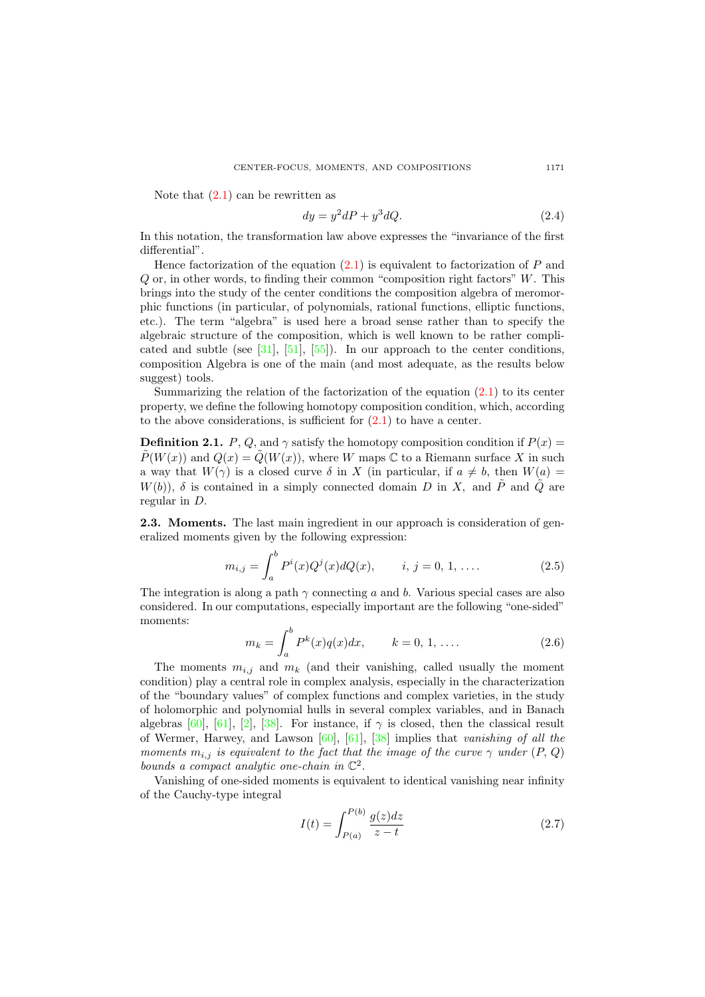Note that  $(2.1)$  can be rewritten as

$$
dy = y^2 dP + y^3 dQ. \tag{2.4}
$$

In this notation, the transformation law above expresses the "invariance of the first differential".

Hence factorization of the equation  $(2.1)$  is equivalent to factorization of P and  $Q$  or, in other words, to finding their common "composition right factors"  $W$ . This brings into the study of the center conditions the composition algebra of meromorphic functions (in particular, of polynomials, rational functions, elliptic functions, etc.). The term "algebra" is used here a broad sense rather than to specify the algebraic structure of the composition, which is well known to be rather complicated and subtle (see  $[31]$ ,  $[51]$ ,  $[55]$ ). In our approach to the center conditions, composition Algebra is one of the main (and most adequate, as the results below suggest) tools.

Summarizing the relation of the factorization of the equation  $(2.1)$  to its center property, we define the following homotopy composition condition, which, according to the above considerations, is sufficient for  $(2.1)$  to have a center.

**Definition 2.1.** P, Q, and  $\gamma$  satisfy the homotopy composition condition if  $P(x)$  $P(W(x))$  and  $Q(x) = Q(W(x))$ , where W maps C to a Riemann surface X in such a way that  $W(\gamma)$  is a closed curve  $\delta$  in X (in particular, if  $a \neq b$ , then  $W(a)$  $W(b)$ ,  $\delta$  is contained in a simply connected domain D in X, and  $\tilde{P}$  and  $\tilde{Q}$  are regular in D.

2.3. Moments. The last main ingredient in our approach is consideration of generalized moments given by the following expression:

$$
m_{i,j} = \int_{a}^{b} P^{i}(x)Q^{j}(x)dQ(x), \qquad i, j = 0, 1, .... \qquad (2.5)
$$

The integration is along a path  $\gamma$  connecting a and b. Various special cases are also considered. In our computations, especially important are the following "one-sided" moments:

<span id="page-4-0"></span>
$$
m_k = \int_a^b P^k(x)q(x)dx, \qquad k = 0, 1, ....
$$
 (2.6)

The moments  $m_{i,j}$  and  $m_k$  (and their vanishing, called usually the moment condition) play a central role in complex analysis, especially in the characterization of the "boundary values" of complex functions and complex varieties, in the study of holomorphic and polynomial hulls in several complex variables, and in Banach algebras [\[60\]](#page-28-5), [\[61\]](#page-28-6), [\[2\]](#page-25-6), [\[38\]](#page-27-14). For instance, if  $\gamma$  is closed, then the classical result of Wermer, Harwey, and Lawson  $[60]$ ,  $[61]$ ,  $[38]$  implies that vanishing of all the moments  $m_{i,j}$  is equivalent to the fact that the image of the curve  $\gamma$  under  $(P, Q)$ bounds a compact analytic one-chain in  $\mathbb{C}^2$ .

Vanishing of one-sided moments is equivalent to identical vanishing near infinity of the Cauchy-type integral

$$
I(t) = \int_{P(a)}^{P(b)} \frac{g(z)dz}{z - t}
$$
 (2.7)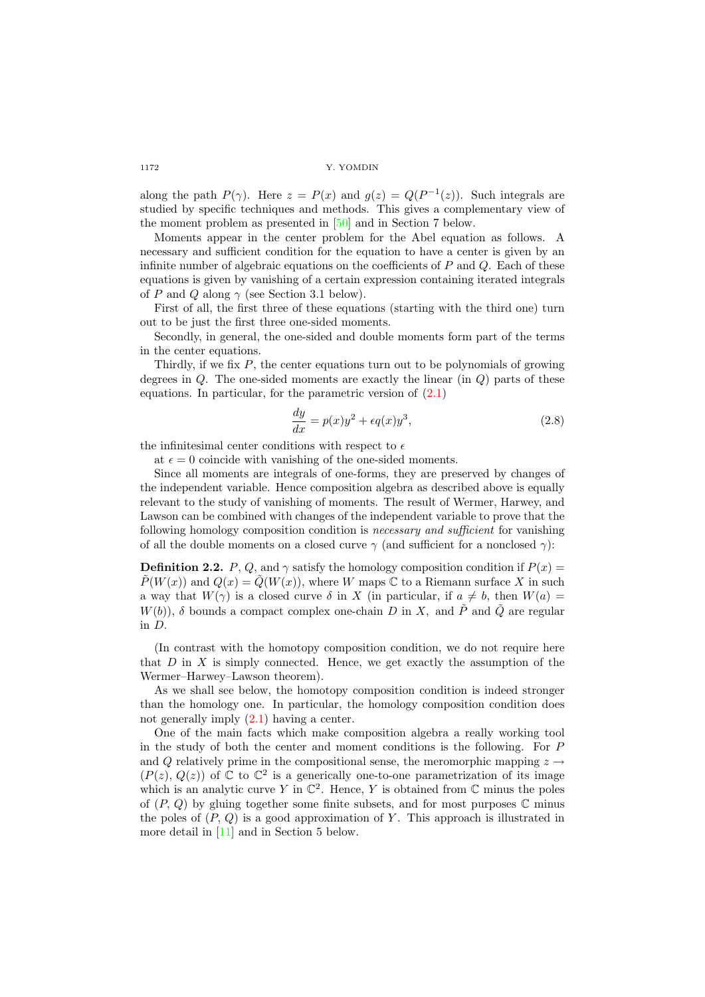along the path  $P(\gamma)$ . Here  $z = P(x)$  and  $g(z) = Q(P^{-1}(z))$ . Such integrals are studied by specific techniques and methods. This gives a complementary view of the moment problem as presented in [\[50\]](#page-27-11) and in Section 7 below.

Moments appear in the center problem for the Abel equation as follows. A necessary and sufficient condition for the equation to have a center is given by an infinite number of algebraic equations on the coefficients of  $P$  and  $Q$ . Each of these equations is given by vanishing of a certain expression containing iterated integrals of P and Q along  $\gamma$  (see Section 3.1 below).

First of all, the first three of these equations (starting with the third one) turn out to be just the first three one-sided moments.

Secondly, in general, the one-sided and double moments form part of the terms in the center equations.

Thirdly, if we fix  $P$ , the center equations turn out to be polynomials of growing degrees in  $Q$ . The one-sided moments are exactly the linear (in  $Q$ ) parts of these equations. In particular, for the parametric version of  $(2.1)$ 

$$
\frac{dy}{dx} = p(x)y^2 + \epsilon q(x)y^3,
$$
\n(2.8)

the infinitesimal center conditions with respect to  $\epsilon$ 

at  $\epsilon = 0$  coincide with vanishing of the one-sided moments.

Since all moments are integrals of one-forms, they are preserved by changes of the independent variable. Hence composition algebra as described above is equally relevant to the study of vanishing of moments. The result of Wermer, Harwey, and Lawson can be combined with changes of the independent variable to prove that the following homology composition condition is necessary and sufficient for vanishing of all the double moments on a closed curve  $\gamma$  (and sufficient for a nonclosed  $\gamma$ ):

**Definition 2.2.** P, Q, and  $\gamma$  satisfy the homology composition condition if  $P(x)$  $\tilde{P}(W(x))$  and  $Q(x) = \tilde{Q}(W(x))$ , where W maps C to a Riemann surface X in such a way that  $W(\gamma)$  is a closed curve  $\delta$  in X (in particular, if  $a \neq b$ , then  $W(a)$  =  $W(b)$ ,  $\delta$  bounds a compact complex one-chain D in X, and P and Q are regular in D.

(In contrast with the homotopy composition condition, we do not require here that  $D$  in  $X$  is simply connected. Hence, we get exactly the assumption of the Wermer–Harwey–Lawson theorem).

As we shall see below, the homotopy composition condition is indeed stronger than the homology one. In particular, the homology composition condition does not generally imply [\(2.1\)](#page-3-0) having a center.

One of the main facts which make composition algebra a really working tool in the study of both the center and moment conditions is the following. For P and Q relatively prime in the compositional sense, the meromorphic mapping  $z \rightarrow$  $(P(z), Q(z))$  of  $\mathbb C$  to  $\mathbb C^2$  is a generically one-to-one parametrization of its image which is an analytic curve Y in  $\mathbb{C}^2$ . Hence, Y is obtained from  $\mathbb C$  minus the poles of  $(P, Q)$  by gluing together some finite subsets, and for most purposes  $\mathbb C$  minus the poles of  $(P, Q)$  is a good approximation of Y. This approach is illustrated in more detail in [\[11\]](#page-26-5) and in Section 5 below.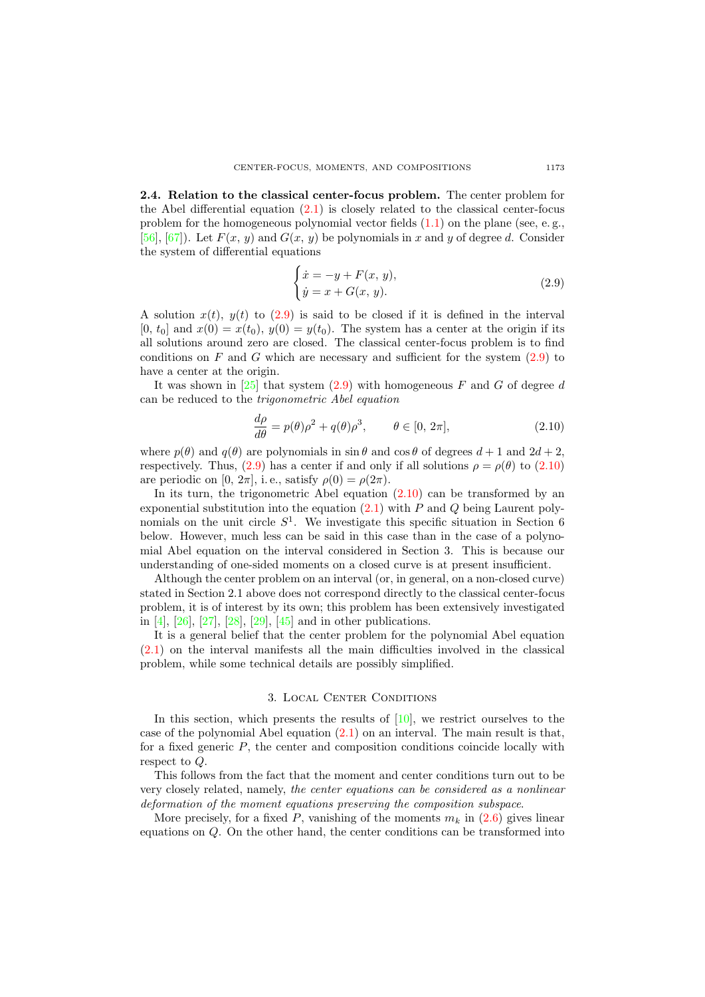2.4. Relation to the classical center-focus problem. The center problem for the Abel differential equation [\(2.1\)](#page-3-0) is closely related to the classical center-focus problem for the homogeneous polynomial vector fields  $(1.1)$  on the plane (see, e.g., [\[56\]](#page-27-0), [\[67\]](#page-28-0)). Let  $F(x, y)$  and  $G(x, y)$  be polynomials in x and y of degree d. Consider the system of differential equations

<span id="page-6-0"></span>
$$
\begin{cases}\n\dot{x} = -y + F(x, y), \\
\dot{y} = x + G(x, y).\n\end{cases}
$$
\n(2.9)

A solution  $x(t)$ ,  $y(t)$  to [\(2.9\)](#page-6-0) is said to be closed if it is defined in the interval [0,  $t_0$ ] and  $x(0) = x(t_0)$ ,  $y(0) = y(t_0)$ . The system has a center at the origin if its all solutions around zero are closed. The classical center-focus problem is to find conditions on F and G which are necessary and sufficient for the system  $(2.9)$  to have a center at the origin.

It was shown in [\[25\]](#page-26-8) that system [\(2.9\)](#page-6-0) with homogeneous F and G of degree d can be reduced to the trigonometric Abel equation

<span id="page-6-1"></span>
$$
\frac{d\rho}{d\theta} = p(\theta)\rho^2 + q(\theta)\rho^3, \qquad \theta \in [0, 2\pi],
$$
\n(2.10)

where  $p(\theta)$  and  $q(\theta)$  are polynomials in sin  $\theta$  and  $\cos \theta$  of degrees  $d+1$  and  $2d+2$ . respectively. Thus, [\(2.9\)](#page-6-0) has a center if and only if all solutions  $\rho = \rho(\theta)$  to [\(2.10\)](#page-6-1) are periodic on [0,  $2\pi$ ], i.e., satisfy  $\rho(0) = \rho(2\pi)$ .

In its turn, the trigonometric Abel equation  $(2.10)$  can be transformed by an exponential substitution into the equation  $(2.1)$  with P and Q being Laurent polynomials on the unit circle  $S<sup>1</sup>$ . We investigate this specific situation in Section 6 below. However, much less can be said in this case than in the case of a polynomial Abel equation on the interval considered in Section 3. This is because our understanding of one-sided moments on a closed curve is at present insufficient.

Although the center problem on an interval (or, in general, on a non-closed curve) stated in Section 2.1 above does not correspond directly to the classical center-focus problem, it is of interest by its own; this problem has been extensively investigated in [\[4\]](#page-25-2), [\[26\]](#page-26-0), [\[27\]](#page-26-9), [\[28\]](#page-26-10), [\[29\]](#page-26-11), [\[45\]](#page-27-7) and in other publications.

It is a general belief that the center problem for the polynomial Abel equation [\(2.1\)](#page-3-0) on the interval manifests all the main difficulties involved in the classical problem, while some technical details are possibly simplified.

## 3. Local Center Conditions

In this section, which presents the results of  $[10]$ , we restrict ourselves to the case of the polynomial Abel equation  $(2.1)$  on an interval. The main result is that, for a fixed generic  $P$ , the center and composition conditions coincide locally with respect to  $\Omega$ .

This follows from the fact that the moment and center conditions turn out to be very closely related, namely, the center equations can be considered as a nonlinear deformation of the moment equations preserving the composition subspace.

More precisely, for a fixed P, vanishing of the moments  $m_k$  in  $(2.6)$  gives linear equations on Q. On the other hand, the center conditions can be transformed into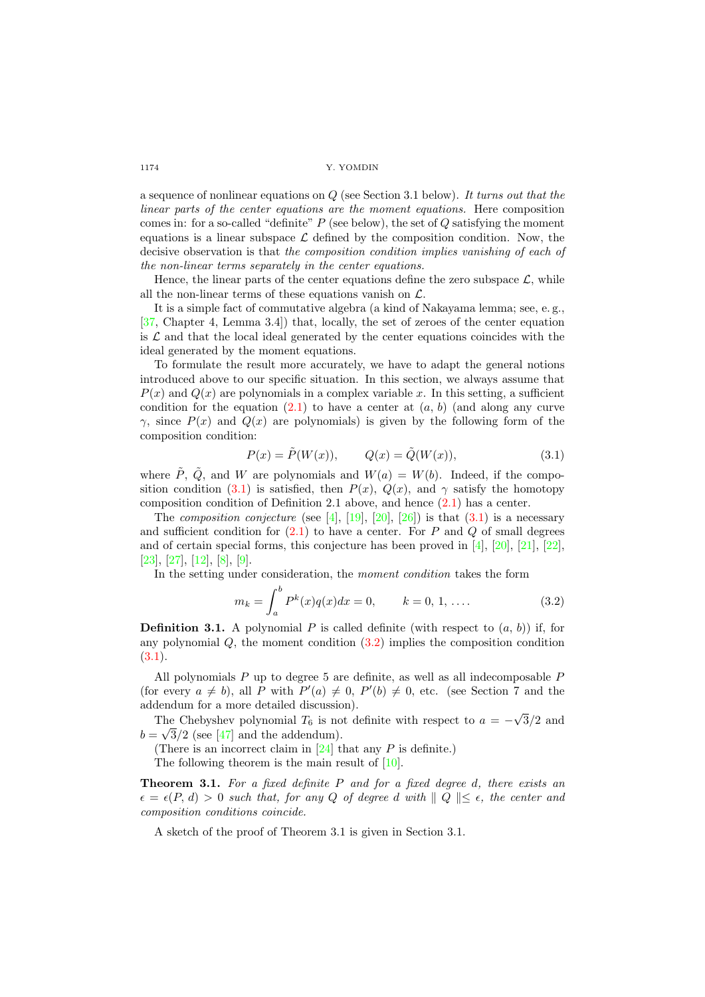a sequence of nonlinear equations on  $Q$  (see Section 3.1 below). It turns out that the linear parts of the center equations are the moment equations. Here composition comes in: for a so-called "definite"  $P$  (see below), the set of  $Q$  satisfying the moment equations is a linear subspace  $\mathcal L$  defined by the composition condition. Now, the decisive observation is that the composition condition implies vanishing of each of the non-linear terms separately in the center equations.

Hence, the linear parts of the center equations define the zero subspace  $\mathcal{L}$ , while all the non-linear terms of these equations vanish on  $\mathcal{L}$ .

It is a simple fact of commutative algebra (a kind of Nakayama lemma; see, e. g., [\[37,](#page-27-15) Chapter 4, Lemma 3.4]) that, locally, the set of zeroes of the center equation is  $\mathcal L$  and that the local ideal generated by the center equations coincides with the ideal generated by the moment equations.

To formulate the result more accurately, we have to adapt the general notions introduced above to our specific situation. In this section, we always assume that  $P(x)$  and  $Q(x)$  are polynomials in a complex variable x. In this setting, a sufficient condition for the equation  $(2.1)$  to have a center at  $(a, b)$  (and along any curve  $\gamma$ , since  $P(x)$  and  $Q(x)$  are polynomials) is given by the following form of the composition condition:

<span id="page-7-0"></span>
$$
P(x) = \tilde{P}(W(x)), \qquad Q(x) = \tilde{Q}(W(x)), \tag{3.1}
$$

where  $\tilde{P}$ ,  $\tilde{Q}$ , and W are polynomials and  $W(a) = W(b)$ . Indeed, if the compo-sition condition [\(3.1\)](#page-7-0) is satisfied, then  $P(x)$ ,  $Q(x)$ , and  $\gamma$  satisfy the homotopy composition condition of Definition 2.1 above, and hence  $(2.1)$  has a center.

The *composition conjecture* (see [\[4\]](#page-25-2), [\[19\]](#page-26-12), [\[20\]](#page-26-13), [\[26\]](#page-26-0)) is that  $(3.1)$  is a necessary and sufficient condition for  $(2.1)$  to have a center. For P and Q of small degrees and of certain special forms, this conjecture has been proved in [\[4\]](#page-25-2), [\[20\]](#page-26-13), [\[21\]](#page-26-1), [\[22\]](#page-26-14), [\[23\]](#page-26-15), [\[27\]](#page-26-9), [\[12\]](#page-26-16), [\[8\]](#page-25-7), [\[9\]](#page-25-4).

In the setting under consideration, the moment condition takes the form

<span id="page-7-1"></span>
$$
m_k = \int_a^b P^k(x)q(x)dx = 0, \qquad k = 0, 1, .... \qquad (3.2)
$$

**Definition 3.1.** A polynomial P is called definite (with respect to  $(a, b)$ ) if, for any polynomial  $Q$ , the moment condition  $(3.2)$  implies the composition condition [\(3.1\)](#page-7-0).

All polynomials  $P$  up to degree 5 are definite, as well as all indecomposable  $P$ (for every  $a \neq b$ ), all P with  $P'(a) \neq 0$ ,  $P'(b) \neq 0$ , etc. (see Section 7 and the addendum for a more detailed discussion). √

The Chebyshev polynomial  $T_6$  is not definite with respect to  $a = -$ The Chebyshev polynomial  $T_6$  is not definite with respect to  $a = -\sqrt{3}/2$  and  $b = \sqrt{3}/2$  (see [\[47\]](#page-27-8) and the addendum).

(There is an incorrect claim in  $[24]$  that any  $P$  is definite.)

The following theorem is the main result of  $[10]$ .

**Theorem 3.1.** For a fixed definite  $P$  and for a fixed degree d, there exists an  $\epsilon = \epsilon(P, d) > 0$  such that, for any Q of degree d with  $||Q|| \leq \epsilon$ , the center and composition conditions coincide.

A sketch of the proof of Theorem 3.1 is given in Section 3.1.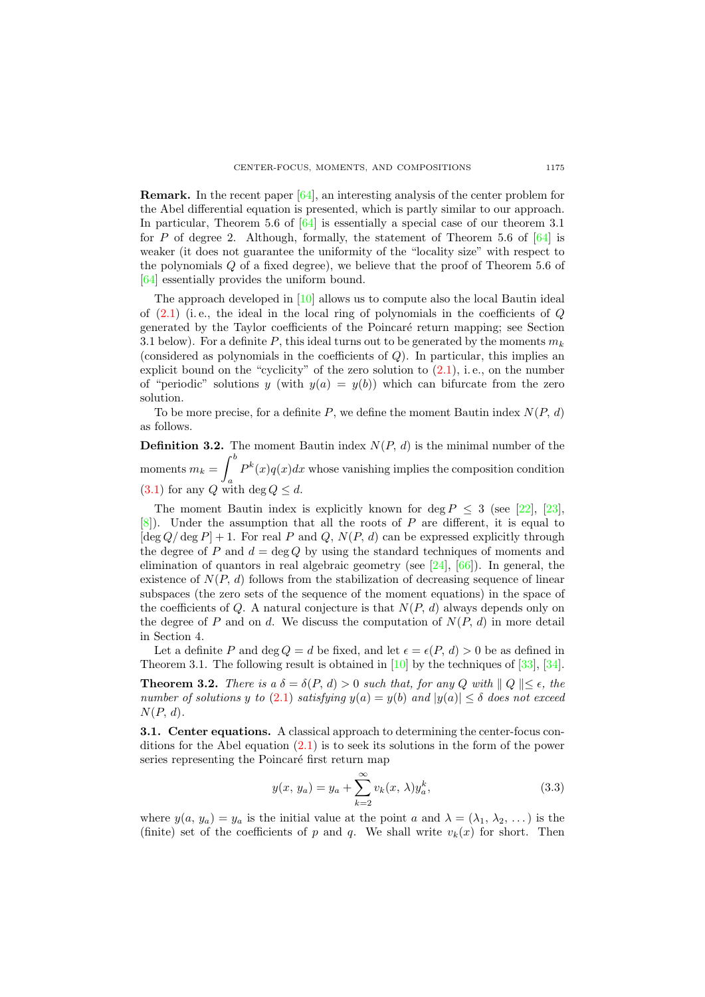**Remark.** In the recent paper  $[64]$ , an interesting analysis of the center problem for the Abel differential equation is presented, which is partly similar to our approach. In particular, Theorem 5.6 of [\[64\]](#page-28-7) is essentially a special case of our theorem 3.1 for P of degree 2. Although, formally, the statement of Theorem 5.6 of  $[64]$  is weaker (it does not guarantee the uniformity of the "locality size" with respect to the polynomials Q of a fixed degree), we believe that the proof of Theorem 5.6 of [\[64\]](#page-28-7) essentially provides the uniform bound.

The approach developed in [\[10\]](#page-26-4) allows us to compute also the local Bautin ideal of  $(2.1)$  (i.e., the ideal in the local ring of polynomials in the coefficients of  $Q$ generated by the Taylor coefficients of the Poincar´e return mapping; see Section 3.1 below). For a definite P, this ideal turns out to be generated by the moments  $m_k$ (considered as polynomials in the coefficients of  $Q$ ). In particular, this implies an explicit bound on the "cyclicity" of the zero solution to [\(2.1\)](#page-3-0), i. e., on the number of "periodic" solutions y (with  $y(a) = y(b)$ ) which can bifurcate from the zero solution.

To be more precise, for a definite  $P$ , we define the moment Bautin index  $N(P, d)$ as follows.

**Definition 3.2.** The moment Bautin index  $N(P, d)$  is the minimal number of the moments  $m_k = \int^b$ a  $P^{k}(x)q(x)dx$  whose vanishing implies the composition condition [\(3.1\)](#page-7-0) for any Q with deg  $Q \leq d$ .

The moment Bautin index is explicitly known for deg  $P \leq 3$  (see [\[22\]](#page-26-14), [\[23\]](#page-26-15),  $[8]$ . Under the assumption that all the roots of P are different, it is equal to  $[\deg Q/\deg P] + 1$ . For real P and Q,  $N(P, d)$  can be expressed explicitly through the degree of P and  $d = \deg Q$  by using the standard techniques of moments and elimination of quantors in real algebraic geometry (see [\[24\]](#page-26-17), [\[66\]](#page-28-3)). In general, the existence of  $N(P, d)$  follows from the stabilization of decreasing sequence of linear subspaces (the zero sets of the sequence of the moment equations) in the space of the coefficients of Q. A natural conjecture is that  $N(P, d)$  always depends only on the degree of P and on d. We discuss the computation of  $N(P, d)$  in more detail in Section 4.

Let a definite P and deg  $Q = d$  be fixed, and let  $\epsilon = \epsilon(P, d) > 0$  be as defined in Theorem 3.1. The following result is obtained in [\[10\]](#page-26-4) by the techniques of [\[33\]](#page-26-18), [\[34\]](#page-26-19).

**Theorem 3.2.** There is a  $\delta = \delta(P, d) > 0$  such that, for any Q with  $||Q|| \leq \epsilon$ , the number of solutions y to [\(2.1\)](#page-3-0) satisfying  $y(a) = y(b)$  and  $|y(a)| \leq \delta$  does not exceed  $N(P, d)$ .

3.1. Center equations. A classical approach to determining the center-focus conditions for the Abel equation  $(2.1)$  is to seek its solutions in the form of the power series representing the Poincaré first return map

<span id="page-8-0"></span>
$$
y(x, y_a) = y_a + \sum_{k=2}^{\infty} v_k(x, \lambda) y_a^k,
$$
 (3.3)

where  $y(a, y_a) = y_a$  is the initial value at the point a and  $\lambda = (\lambda_1, \lambda_2, \dots)$  is the (finite) set of the coefficients of p and q. We shall write  $v_k(x)$  for short. Then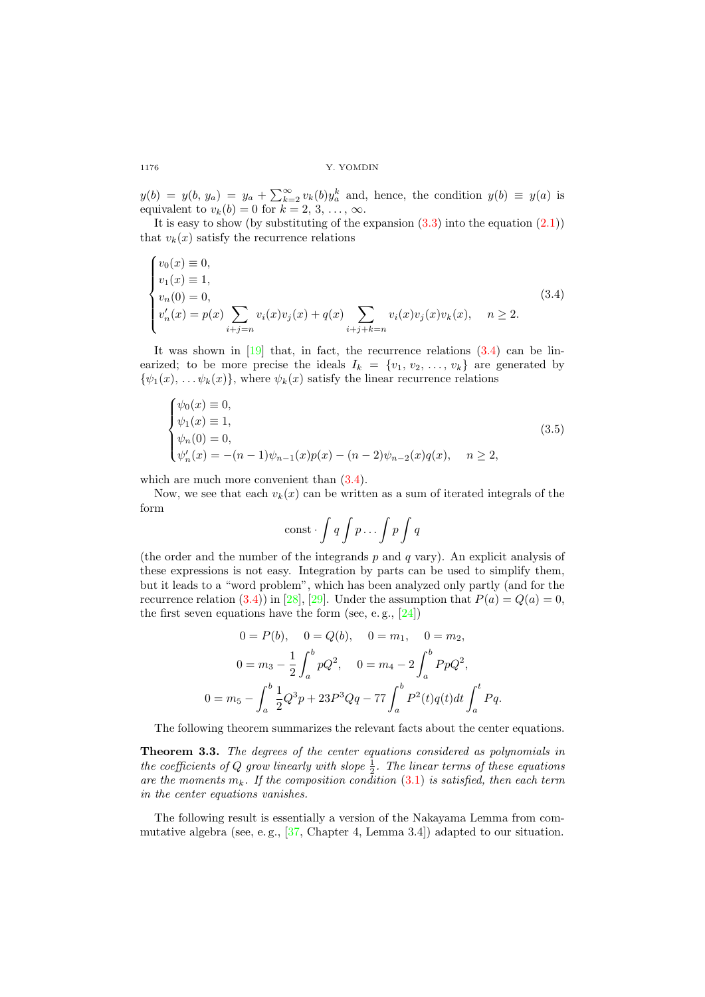$y(b) = y(b, y_a) = y_a + \sum_{k=2}^{\infty} v_k(b)y_a^k$  and, hence, the condition  $y(b) \equiv y(a)$  is equivalent to  $v_k(b) = 0$  for  $k = 2, 3, \ldots, \infty$ .

It is easy to show (by substituting of the expansion  $(3.3)$  into the equation  $(2.1)$ ) that  $v_k(x)$  satisfy the recurrence relations

<span id="page-9-0"></span>
$$
\begin{cases}\nv_0(x) \equiv 0, \\
v_1(x) \equiv 1, \\
v_n(0) = 0, \\
v'_n(x) = p(x) \sum_{i+j=n} v_i(x)v_j(x) + q(x) \sum_{i+j+k=n} v_i(x)v_j(x)v_k(x), \quad n \ge 2.\n\end{cases}
$$
\n(3.4)

It was shown in [\[19\]](#page-26-12) that, in fact, the recurrence relations [\(3.4\)](#page-9-0) can be linearized; to be more precise the ideals  $I_k = \{v_1, v_2, \ldots, v_k\}$  are generated by  $\{\psi_1(x), \ldots, \psi_k(x)\}\,$ , where  $\psi_k(x)$  satisfy the linear recurrence relations

$$
\begin{cases}\n\psi_0(x) \equiv 0, \\
\psi_1(x) \equiv 1, \\
\psi_n(0) = 0, \\
\psi'_n(x) = -(n-1)\psi_{n-1}(x)p(x) - (n-2)\psi_{n-2}(x)q(x), \quad n \ge 2,\n\end{cases}
$$
\n(3.5)

which are much more convenient than  $(3.4)$ .

Now, we see that each  $v_k(x)$  can be written as a sum of iterated integrals of the form

<span id="page-9-1"></span>
$$
\text{const}\cdot\int q\int p\ldots\int p\int q
$$

(the order and the number of the integrands  $p$  and  $q$  vary). An explicit analysis of these expressions is not easy. Integration by parts can be used to simplify them, but it leads to a "word problem", which has been analyzed only partly (and for the recurrence relation [\(3.4\)](#page-9-0)) in [\[28\]](#page-26-10), [\[29\]](#page-26-11). Under the assumption that  $P(a) = Q(a) = 0$ , the first seven equations have the form (see, e.g.,  $[24]$ )

$$
0 = P(b), \quad 0 = Q(b), \quad 0 = m_1, \quad 0 = m_2,
$$
  

$$
0 = m_3 - \frac{1}{2} \int_a^b pQ^2, \quad 0 = m_4 - 2 \int_a^b PpQ^2,
$$
  

$$
0 = m_5 - \int_a^b \frac{1}{2}Q^3p + 23P^3Qq - 77 \int_a^b P^2(t)q(t)dt \int_a^t Pq.
$$

The following theorem summarizes the relevant facts about the center equations.

Theorem 3.3. The degrees of the center equations considered as polynomials in the coefficients of Q grow linearly with slope  $\frac{1}{2}$ . The linear terms of these equations are the moments  $m_k$ . If the composition condition [\(3.1\)](#page-7-0) is satisfied, then each term in the center equations vanishes.

The following result is essentially a version of the Nakayama Lemma from commutative algebra (see, e. g., [\[37,](#page-27-15) Chapter 4, Lemma 3.4]) adapted to our situation.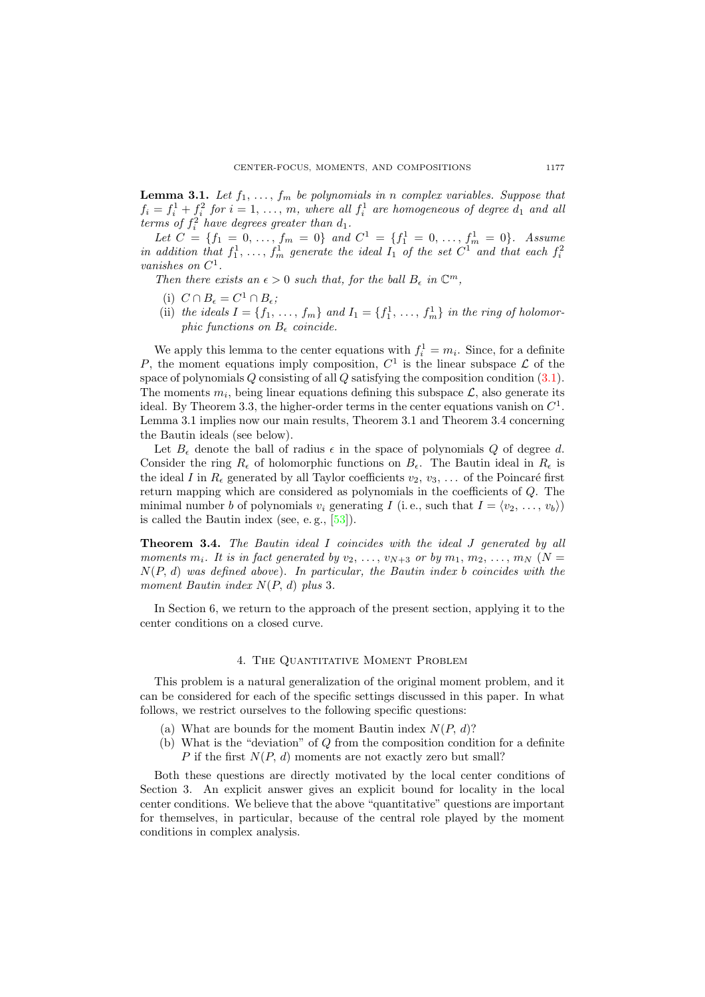**Lemma 3.1.** Let  $f_1, \ldots, f_m$  be polynomials in n complex variables. Suppose that  $f_i = f_i^1 + \underline{f}_i^2$  for  $i = 1, \ldots, m$ , where all  $f_i^1$  are homogeneous of degree  $d_1$  and all terms of  $f_i^2$  have degrees greater than  $d_1$ .

*Let*  $C = \{f_1 = 0, ..., f_m = 0\}$  and  $C^1 = \{f_1^1 = 0, ..., f_m^1 = 0\}$ . Assume in addition that  $f_1^1, \ldots, f_m^1$  generate the ideal  $I_1$  of the set  $C^1$  and that each  $f_i^2$ vanishes on  $C^1$ .

Then there exists an  $\epsilon > 0$  such that, for the ball  $B_{\epsilon}$  in  $\mathbb{C}^m$ ,

- (i)  $C \cap B_{\epsilon} = C^1 \cap B_{\epsilon};$
- (ii) the ideals  $I = \{f_1, \ldots, f_m\}$  and  $I_1 = \{f_1^1, \ldots, f_m^1\}$  in the ring of holomorphic functions on  $B_{\epsilon}$  coincide.

We apply this lemma to the center equations with  $f_i^1 = m_i$ . Since, for a definite P, the moment equations imply composition,  $C^1$  is the linear subspace  $\mathcal L$  of the space of polynomials Q consisting of all Q satisfying the composition condition [\(3.1\)](#page-7-0). The moments  $m_i$ , being linear equations defining this subspace  $\mathcal{L}$ , also generate its ideal. By Theorem 3.3, the higher-order terms in the center equations vanish on  $C^1$ . Lemma 3.1 implies now our main results, Theorem 3.1 and Theorem 3.4 concerning the Bautin ideals (see below).

Let  $B_{\epsilon}$  denote the ball of radius  $\epsilon$  in the space of polynomials Q of degree d. Consider the ring  $R_{\epsilon}$  of holomorphic functions on  $B_{\epsilon}$ . The Bautin ideal in  $R_{\epsilon}$  is the ideal I in  $R_{\epsilon}$  generated by all Taylor coefficients  $v_2, v_3, \ldots$  of the Poincaré first return mapping which are considered as polynomials in the coefficients of Q. The minimal number b of polynomials  $v_i$  generating I (i.e., such that  $I = \langle v_2, \ldots, v_b \rangle$ ) is called the Bautin index (see, e. g., [\[53\]](#page-27-16)).

**Theorem 3.4.** The Bautin ideal I coincides with the ideal J generated by all moments  $m_i$ . It is in fact generated by  $v_2, \ldots, v_{N+3}$  or by  $m_1, m_2, \ldots, m_N$  (N =  $N(P, d)$  was defined above). In particular, the Bautin index b coincides with the moment Bautin index  $N(P, d)$  plus 3.

In Section 6, we return to the approach of the present section, applying it to the center conditions on a closed curve.

## 4. The Quantitative Moment Problem

This problem is a natural generalization of the original moment problem, and it can be considered for each of the specific settings discussed in this paper. In what follows, we restrict ourselves to the following specific questions:

- (a) What are bounds for the moment Bautin index  $N(P, d)$ ?
- (b) What is the "deviation" of Q from the composition condition for a definite P if the first  $N(P, d)$  moments are not exactly zero but small?

Both these questions are directly motivated by the local center conditions of Section 3. An explicit answer gives an explicit bound for locality in the local center conditions. We believe that the above "quantitative" questions are important for themselves, in particular, because of the central role played by the moment conditions in complex analysis.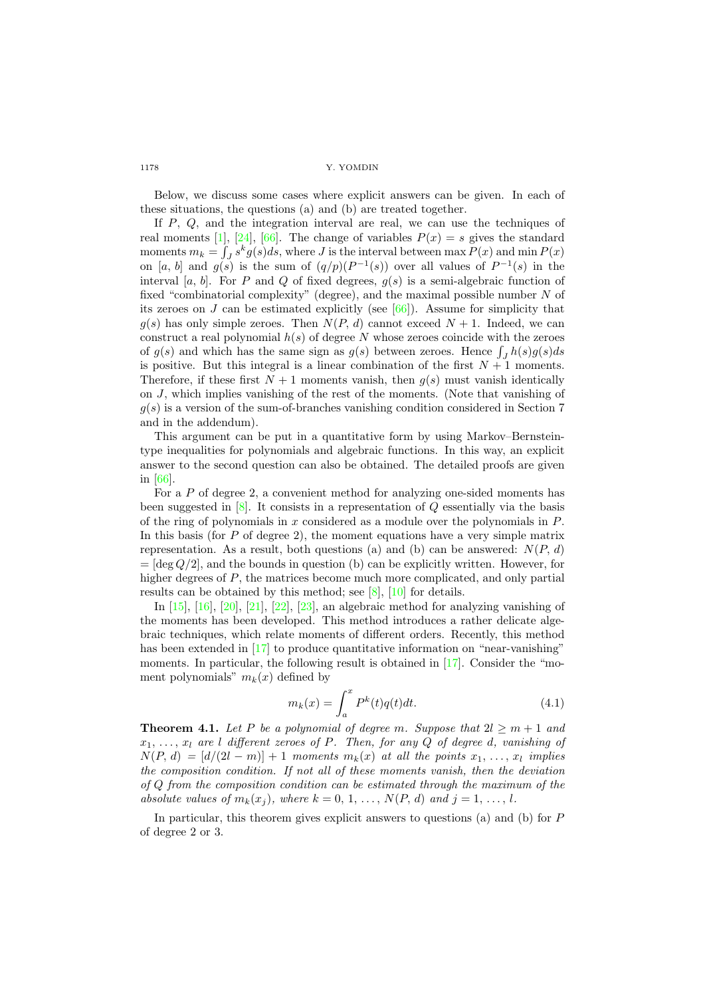Below, we discuss some cases where explicit answers can be given. In each of these situations, the questions (a) and (b) are treated together.

If P, Q, and the integration interval are real, we can use the techniques of real moments [\[1\]](#page-25-8), [\[24\]](#page-26-17), [\[66\]](#page-28-3). The change of variables  $P(x) = s$  gives the standard moments  $m_k = \int_J s^k g(s) ds$ , where J is the interval between max  $P(x)$  and min  $P(x)$ on [a, b] and  $g(s)$  is the sum of  $(q/p)(P^{-1}(s))$  over all values of  $P^{-1}(s)$  in the interval [a, b]. For P and Q of fixed degrees,  $g(s)$  is a semi-algebraic function of fixed "combinatorial complexity" (degree), and the maximal possible number N of its zeroes on J can be estimated explicitly (see [\[66\]](#page-28-3)). Assume for simplicity that  $g(s)$  has only simple zeroes. Then  $N(P, d)$  cannot exceed  $N + 1$ . Indeed, we can construct a real polynomial  $h(s)$  of degree N whose zeroes coincide with the zeroes of  $g(s)$  and which has the same sign as  $g(s)$  between zeroes. Hence  $\int_J h(s)g(s)ds$ is positive. But this integral is a linear combination of the first  $N + 1$  moments. Therefore, if these first  $N + 1$  moments vanish, then  $g(s)$  must vanish identically on J, which implies vanishing of the rest of the moments. (Note that vanishing of  $g(s)$  is a version of the sum-of-branches vanishing condition considered in Section 7 and in the addendum).

This argument can be put in a quantitative form by using Markov–Bernsteintype inequalities for polynomials and algebraic functions. In this way, an explicit answer to the second question can also be obtained. The detailed proofs are given in [\[66\]](#page-28-3).

For a P of degree 2, a convenient method for analyzing one-sided moments has been suggested in  $[8]$ . It consists in a representation of Q essentially via the basis of the ring of polynomials in  $x$  considered as a module over the polynomials in  $P$ . In this basis (for  $P$  of degree 2), the moment equations have a very simple matrix representation. As a result, both questions (a) and (b) can be answered:  $N(P, d)$  $=$  [deg  $Q/2$ ], and the bounds in question (b) can be explicitly written. However, for higher degrees of  $P$ , the matrices become much more complicated, and only partial results can be obtained by this method; see [\[8\]](#page-25-7), [\[10\]](#page-26-4) for details.

In [\[15\]](#page-26-20), [\[16\]](#page-26-21), [\[20\]](#page-26-13), [\[21\]](#page-26-1), [\[22\]](#page-26-14), [\[23\]](#page-26-15), an algebraic method for analyzing vanishing of the moments has been developed. This method introduces a rather delicate algebraic techniques, which relate moments of different orders. Recently, this method has been extended in [\[17\]](#page-26-3) to produce quantitative information on "near-vanishing" moments. In particular, the following result is obtained in [\[17\]](#page-26-3). Consider the "moment polynomials"  $m_k(x)$  defined by

$$
m_k(x) = \int_a^x P^k(t)q(t)dt.
$$
\n(4.1)

**Theorem 4.1.** Let P be a polynomial of degree m. Suppose that  $2l \ge m+1$  and  $x_1, \ldots, x_l$  are l different zeroes of P. Then, for any Q of degree d, vanishing of  $N(P, d) = [d/(2l - m)] + 1$  moments  $m_k(x)$  at all the points  $x_1, \ldots, x_l$  implies the composition condition. If not all of these moments vanish, then the deviation of Q from the composition condition can be estimated through the maximum of the absolute values of  $m_k(x_i)$ , where  $k = 0, 1, ..., N(P, d)$  and  $j = 1, ..., l$ .

In particular, this theorem gives explicit answers to questions (a) and (b) for P of degree 2 or 3.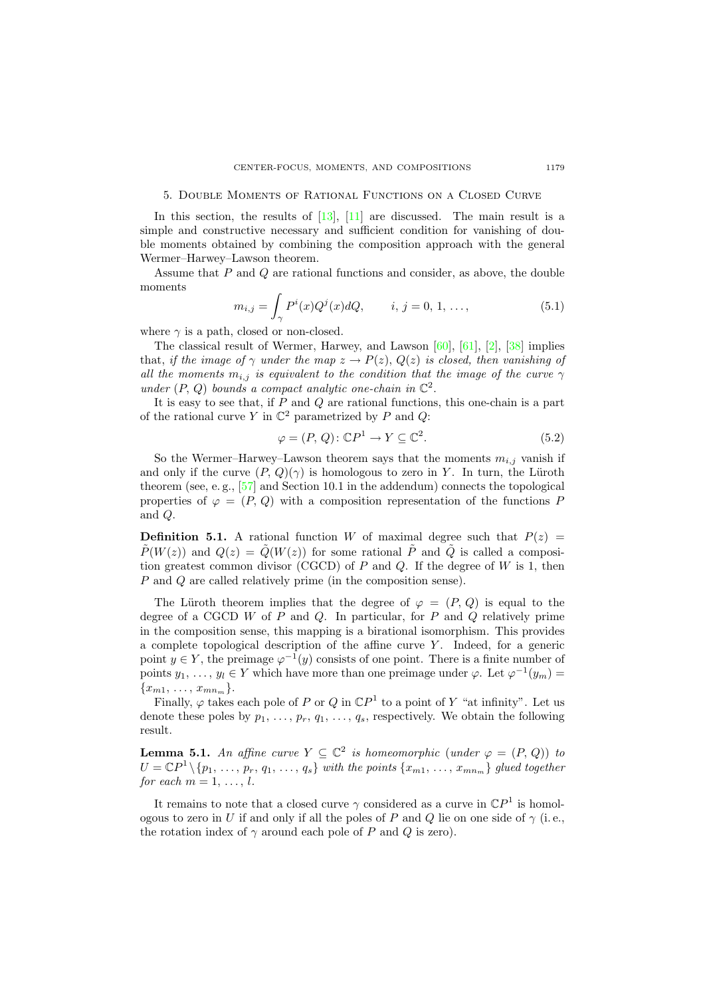#### 5. Double Moments of Rational Functions on a Closed Curve

In this section, the results of  $[13]$ ,  $[11]$  are discussed. The main result is a simple and constructive necessary and sufficient condition for vanishing of double moments obtained by combining the composition approach with the general Wermer–Harwey–Lawson theorem.

Assume that P and Q are rational functions and consider, as above, the double moments

<span id="page-12-0"></span>
$$
m_{i,j} = \int_{\gamma} P^i(x)Q^j(x)dQ, \qquad i, j = 0, 1, ..., \qquad (5.1)
$$

where  $\gamma$  is a path, closed or non-closed.

The classical result of Wermer, Harwey, and Lawson [\[60\]](#page-28-5), [\[61\]](#page-28-6), [\[2\]](#page-25-6), [\[38\]](#page-27-14) implies that, if the image of  $\gamma$  under the map  $z \to P(z)$ ,  $Q(z)$  is closed, then vanishing of all the moments  $m_{i,j}$  is equivalent to the condition that the image of the curve  $\gamma$ under  $(P, Q)$  bounds a compact analytic one-chain in  $\mathbb{C}^2$ .

It is easy to see that, if  $P$  and  $Q$  are rational functions, this one-chain is a part of the rational curve Y in  $\mathbb{C}^2$  parametrized by P and Q:

$$
\varphi = (P, Q) \colon \mathbb{C}P^1 \to Y \subseteq \mathbb{C}^2. \tag{5.2}
$$

So the Wermer–Harwey–Lawson theorem says that the moments  $m_{i,j}$  vanish if and only if the curve  $(P, Q)(\gamma)$  is homologous to zero in Y. In turn, the Lüroth theorem (see, e.g.,  $[57]$  and Section 10.1 in the addendum) connects the topological properties of  $\varphi = (P, Q)$  with a composition representation of the functions P and Q.

**Definition 5.1.** A rational function W of maximal degree such that  $P(z)$  =  $\tilde{P}(W(z))$  and  $Q(z) = \tilde{Q}(W(z))$  for some rational  $\tilde{P}$  and  $\tilde{Q}$  is called a composition greatest common divisor (CGCD) of  $P$  and  $Q$ . If the degree of  $W$  is 1, then P and Q are called relatively prime (in the composition sense).

The Lüroth theorem implies that the degree of  $\varphi = (P, Q)$  is equal to the degree of a CGCD  $W$  of  $P$  and  $Q$ . In particular, for  $P$  and  $Q$  relatively prime in the composition sense, this mapping is a birational isomorphism. This provides a complete topological description of the affine curve  $Y$ . Indeed, for a generic point  $y \in Y$ , the preimage  $\varphi^{-1}(y)$  consists of one point. There is a finite number of points  $y_1, \ldots, y_l \in Y$  which have more than one preimage under  $\varphi$ . Let  $\varphi^{-1}(y_m) =$  ${x_{m1}, \ldots, x_{mn_m}}.$ 

Finally,  $\varphi$  takes each pole of P or Q in  $\mathbb{C}P^1$  to a point of Y "at infinity". Let us denote these poles by  $p_1, \ldots, p_r, q_1, \ldots, q_s$ , respectively. We obtain the following result.

**Lemma 5.1.** An affine curve  $Y \subseteq \mathbb{C}^2$  is homeomorphic (under  $\varphi = (P, Q)$ ) to  $U = \mathbb{C}P^1 \setminus \{p_1, \ldots, p_r, q_1, \ldots, q_s\}$  with the points  $\{x_{m1}, \ldots, x_{mn_m}\}\$  glued together for each  $m = 1, \ldots, l$ .

It remains to note that a closed curve  $\gamma$  considered as a curve in  $\mathbb{C}P^1$  is homologous to zero in U if and only if all the poles of P and Q lie on one side of  $\gamma$  (i.e., the rotation index of  $\gamma$  around each pole of P and Q is zero).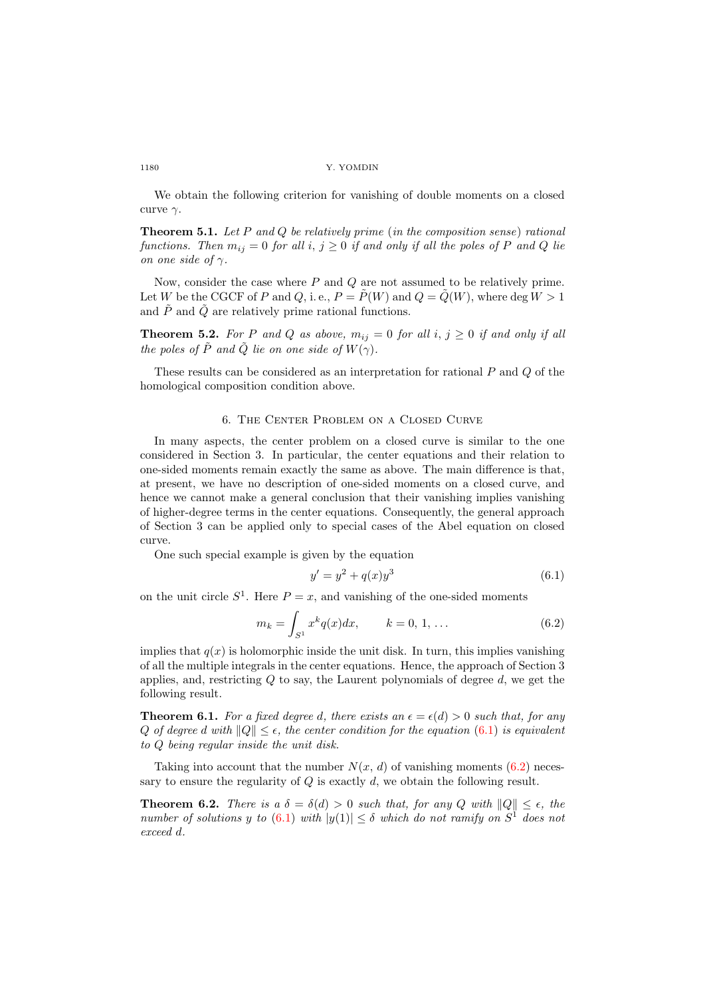We obtain the following criterion for vanishing of double moments on a closed curve  $\gamma$ .

**Theorem 5.1.** Let P and Q be relatively prime (in the composition sense) rational functions. Then  $m_{ij} = 0$  for all i,  $j \geq 0$  if and only if all the poles of P and Q lie on one side of  $\gamma$ .

Now, consider the case where  $P$  and  $Q$  are not assumed to be relatively prime. Let W be the CGCF of P and Q, i.e.,  $P = \tilde{P}(W)$  and  $Q = \tilde{Q}(W)$ , where deg  $W > 1$ and  $\tilde{P}$  and  $\tilde{Q}$  are relatively prime rational functions.

**Theorem 5.2.** For P and Q as above,  $m_{ij} = 0$  for all i,  $j \ge 0$  if and only if all the poles of  $\tilde{P}$  and  $\tilde{Q}$  lie on one side of  $W(\gamma)$ .

These results can be considered as an interpretation for rational P and Q of the homological composition condition above.

# 6. The Center Problem on a Closed Curve

In many aspects, the center problem on a closed curve is similar to the one considered in Section 3. In particular, the center equations and their relation to one-sided moments remain exactly the same as above. The main difference is that, at present, we have no description of one-sided moments on a closed curve, and hence we cannot make a general conclusion that their vanishing implies vanishing of higher-degree terms in the center equations. Consequently, the general approach of Section 3 can be applied only to special cases of the Abel equation on closed curve.

One such special example is given by the equation

<span id="page-13-1"></span><span id="page-13-0"></span>
$$
y' = y^2 + q(x)y^3 \tag{6.1}
$$

on the unit circle  $S^1$ . Here  $P = x$ , and vanishing of the one-sided moments

$$
m_k = \int_{S^1} x^k q(x) dx, \qquad k = 0, 1, \dots \tag{6.2}
$$

implies that  $q(x)$  is holomorphic inside the unit disk. In turn, this implies vanishing of all the multiple integrals in the center equations. Hence, the approach of Section 3 applies, and, restricting  $Q$  to say, the Laurent polynomials of degree  $d$ , we get the following result.

**Theorem 6.1.** For a fixed degree d, there exists an  $\epsilon = \epsilon(d) > 0$  such that, for any Q of degree d with  $||Q|| \leq \epsilon$ , the center condition for the equation [\(6.1\)](#page-13-0) is equivalent to Q being regular inside the unit disk.

Taking into account that the number  $N(x, d)$  of vanishing moments [\(6.2\)](#page-13-1) necessary to ensure the regularity of  $Q$  is exactly  $d$ , we obtain the following result.

**Theorem 6.2.** There is a  $\delta = \delta(d) > 0$  such that, for any Q with  $||Q|| \leq \epsilon$ , the number of solutions y to  $(6.1)$  with  $|y(1)| \leq \delta$  which do not ramify on  $S^1$  does not exceed d.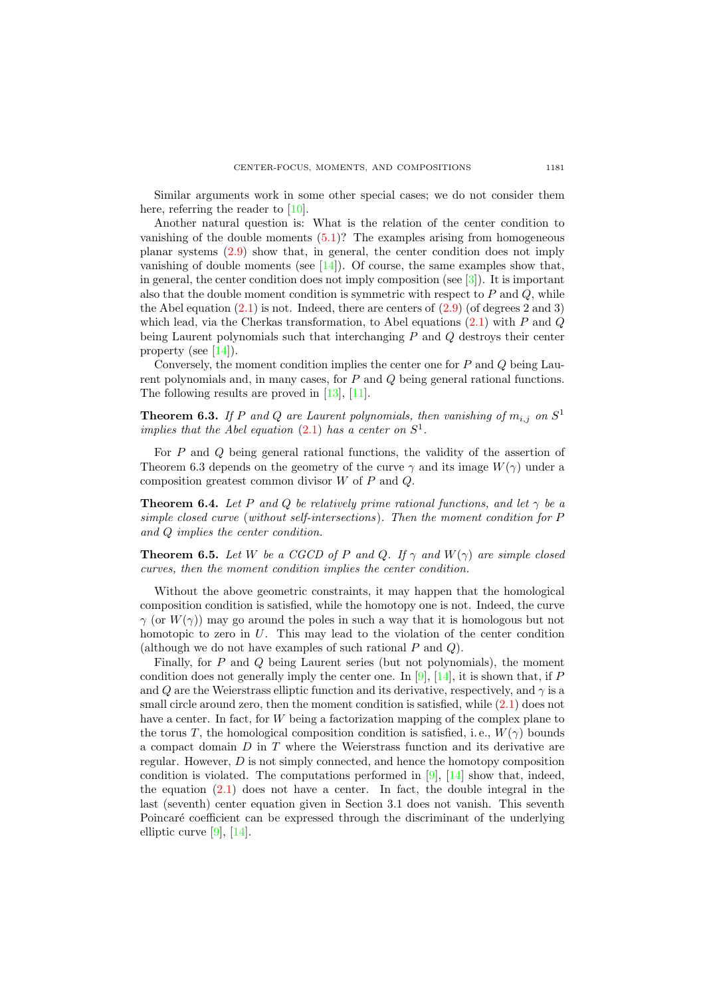Similar arguments work in some other special cases; we do not consider them here, referring the reader to [\[10\]](#page-26-4).

Another natural question is: What is the relation of the center condition to vanishing of the double moments  $(5.1)$ ? The examples arising from homogeneous planar systems [\(2.9\)](#page-6-0) show that, in general, the center condition does not imply vanishing of double moments (see  $[14]$ ). Of course, the same examples show that, in general, the center condition does not imply composition (see  $\lceil 3 \rceil$ ). It is important also that the double moment condition is symmetric with respect to  $P$  and  $Q$ , while the Abel equation  $(2.1)$  is not. Indeed, there are centers of  $(2.9)$  (of degrees 2 and 3) which lead, via the Cherkas transformation, to Abel equations  $(2.1)$  with P and Q being Laurent polynomials such that interchanging P and Q destroys their center property (see  $[14]$ ).

Conversely, the moment condition implies the center one for  $P$  and  $Q$  being Laurent polynomials and, in many cases, for P and Q being general rational functions. The following results are proved in [\[13\]](#page-26-2), [\[11\]](#page-26-5).

**Theorem 6.3.** If P and Q are Laurent polynomials, then vanishing of  $m_{i,j}$  on  $S^1$ implies that the Abel equation  $(2.1)$  has a center on  $S^1$ .

For P and Q being general rational functions, the validity of the assertion of Theorem 6.3 depends on the geometry of the curve  $\gamma$  and its image  $W(\gamma)$  under a composition greatest common divisor W of P and Q.

**Theorem 6.4.** Let P and Q be relatively prime rational functions, and let  $\gamma$  be a simple closed curve (without self-intersections). Then the moment condition for P and Q implies the center condition.

**Theorem 6.5.** Let W be a CGCD of P and Q. If  $\gamma$  and  $W(\gamma)$  are simple closed curves, then the moment condition implies the center condition.

Without the above geometric constraints, it may happen that the homological composition condition is satisfied, while the homotopy one is not. Indeed, the curve  $\gamma$  (or  $W(\gamma)$ ) may go around the poles in such a way that it is homologous but not homotopic to zero in U. This may lead to the violation of the center condition (although we do not have examples of such rational  $P$  and  $Q$ ).

Finally, for  $P$  and  $Q$  being Laurent series (but not polynomials), the moment condition does not generally imply the center one. In [\[9\]](#page-25-4), [\[14\]](#page-26-22), it is shown that, if  $P$ and Q are the Weierstrass elliptic function and its derivative, respectively, and  $\gamma$  is a small circle around zero, then the moment condition is satisfied, while  $(2.1)$  does not have a center. In fact, for W being a factorization mapping of the complex plane to the torus T, the homological composition condition is satisfied, i.e.,  $W(\gamma)$  bounds a compact domain  $D$  in  $T$  where the Weierstrass function and its derivative are regular. However, D is not simply connected, and hence the homotopy composition condition is violated. The computations performed in [\[9\]](#page-25-4), [\[14\]](#page-26-22) show that, indeed, the equation  $(2.1)$  does not have a center. In fact, the double integral in the last (seventh) center equation given in Section 3.1 does not vanish. This seventh Poincaré coefficient can be expressed through the discriminant of the underlying elliptic curve [\[9\]](#page-25-4), [\[14\]](#page-26-22).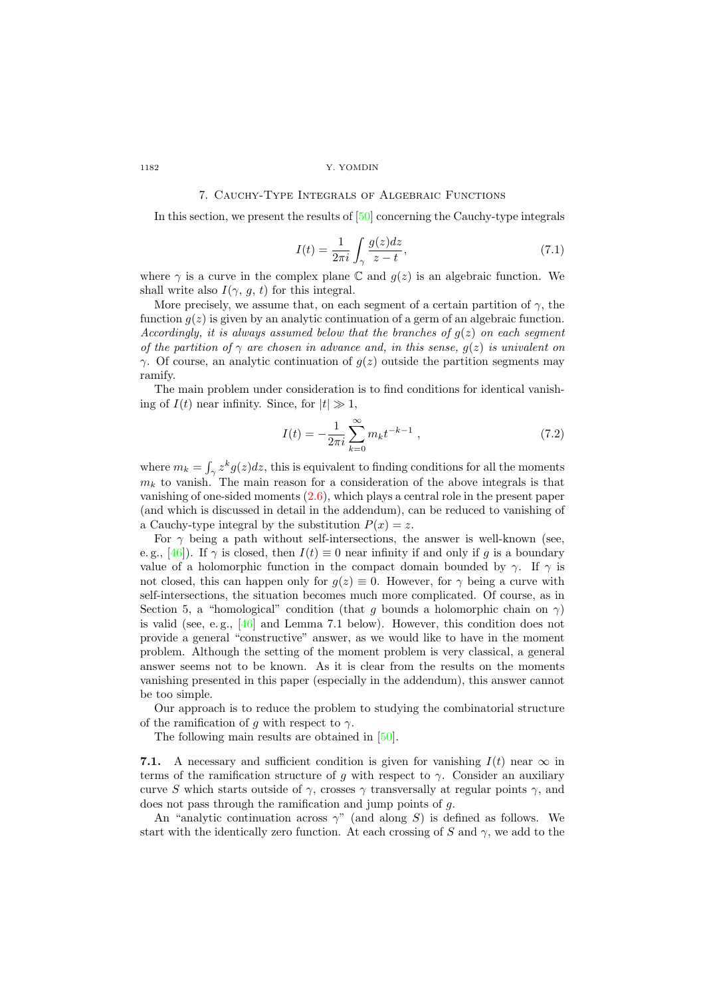## 7. Cauchy-Type Integrals of Algebraic Functions

In this section, we present the results of [\[50\]](#page-27-11) concerning the Cauchy-type integrals

$$
I(t) = \frac{1}{2\pi i} \int_{\gamma} \frac{g(z)dz}{z - t},\tag{7.1}
$$

where  $\gamma$  is a curve in the complex plane  $\mathbb C$  and  $g(z)$  is an algebraic function. We shall write also  $I(\gamma, g, t)$  for this integral.

More precisely, we assume that, on each segment of a certain partition of  $\gamma$ , the function  $g(z)$  is given by an analytic continuation of a germ of an algebraic function. Accordingly, it is always assumed below that the branches of  $q(z)$  on each segment of the partition of  $\gamma$  are chosen in advance and, in this sense,  $q(z)$  is univalent on  $\gamma$ . Of course, an analytic continuation of  $g(z)$  outside the partition segments may ramify.

The main problem under consideration is to find conditions for identical vanishing of  $I(t)$  near infinity. Since, for  $|t| \gg 1$ ,

$$
I(t) = -\frac{1}{2\pi i} \sum_{k=0}^{\infty} m_k t^{-k-1} , \qquad (7.2)
$$

where  $m_k = \int_{\gamma} z^k g(z) dz$ , this is equivalent to finding conditions for all the moments  $m_k$  to vanish. The main reason for a consideration of the above integrals is that vanishing of one-sided moments [\(2.6\)](#page-4-0), which plays a central role in the present paper (and which is discussed in detail in the addendum), can be reduced to vanishing of a Cauchy-type integral by the substitution  $P(x) = z$ .

For  $\gamma$  being a path without self-intersections, the answer is well-known (see, e. g., [\[46\]](#page-27-17)). If  $\gamma$  is closed, then  $I(t) \equiv 0$  near infinity if and only if g is a boundary value of a holomorphic function in the compact domain bounded by  $\gamma$ . If  $\gamma$  is not closed, this can happen only for  $q(z) \equiv 0$ . However, for  $\gamma$  being a curve with self-intersections, the situation becomes much more complicated. Of course, as in Section 5, a "homological" condition (that g bounds a holomorphic chain on  $\gamma$ ) is valid (see, e.g.,  $[46]$  and Lemma 7.1 below). However, this condition does not provide a general "constructive" answer, as we would like to have in the moment problem. Although the setting of the moment problem is very classical, a general answer seems not to be known. As it is clear from the results on the moments vanishing presented in this paper (especially in the addendum), this answer cannot be too simple.

Our approach is to reduce the problem to studying the combinatorial structure of the ramification of q with respect to  $\gamma$ .

The following main results are obtained in [\[50\]](#page-27-11).

7.1. A necessary and sufficient condition is given for vanishing  $I(t)$  near  $\infty$  in terms of the ramification structure of g with respect to  $\gamma$ . Consider an auxiliary curve S which starts outside of  $\gamma$ , crosses  $\gamma$  transversally at regular points  $\gamma$ , and does not pass through the ramification and jump points of g.

An "analytic continuation across  $\gamma$ " (and along S) is defined as follows. We start with the identically zero function. At each crossing of S and  $\gamma$ , we add to the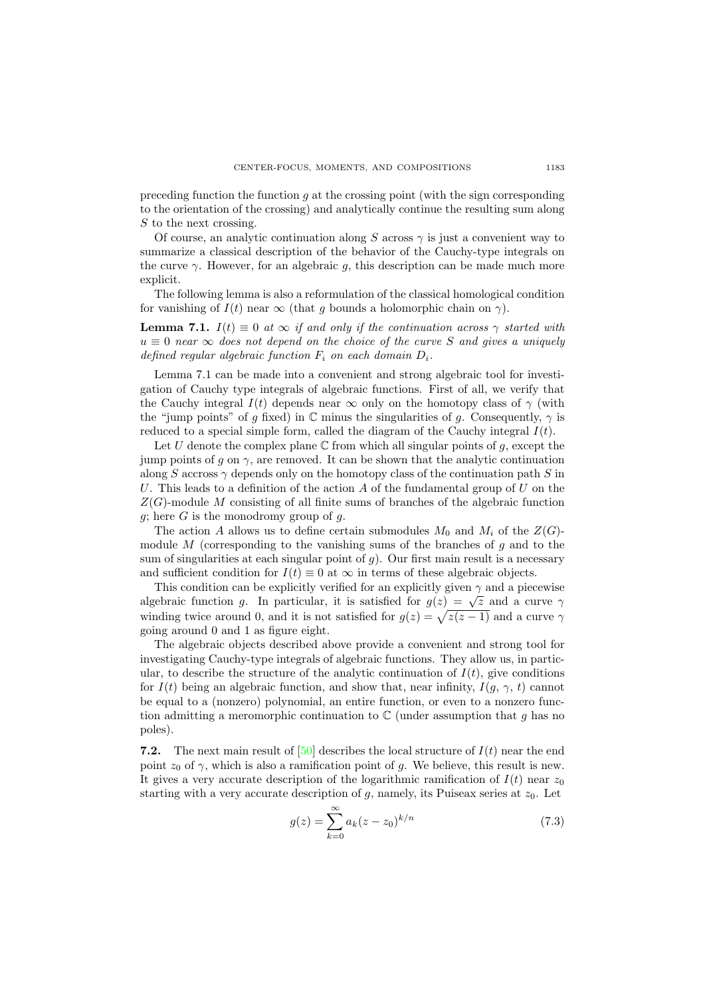preceding function the function  $g$  at the crossing point (with the sign corresponding to the orientation of the crossing) and analytically continue the resulting sum along  $S$  to the next crossing.

Of course, an analytic continuation along S across  $\gamma$  is just a convenient way to summarize a classical description of the behavior of the Cauchy-type integrals on the curve  $\gamma$ . However, for an algebraic g, this description can be made much more explicit.

The following lemma is also a reformulation of the classical homological condition for vanishing of  $I(t)$  near  $\infty$  (that q bounds a holomorphic chain on  $\gamma$ ).

**Lemma 7.1.**  $I(t) \equiv 0$  at  $\infty$  if and only if the continuation across  $\gamma$  started with  $u \equiv 0$  near  $\infty$  does not depend on the choice of the curve S and gives a uniquely defined regular algebraic function  $F_i$  on each domain  $D_i$ .

Lemma 7.1 can be made into a convenient and strong algebraic tool for investigation of Cauchy type integrals of algebraic functions. First of all, we verify that the Cauchy integral  $I(t)$  depends near  $\infty$  only on the homotopy class of  $\gamma$  (with the "jump points" of q fixed) in  $\mathbb C$  minus the singularities of q. Consequently,  $\gamma$  is reduced to a special simple form, called the diagram of the Cauchy integral  $I(t)$ .

Let U denote the complex plane  $\mathbb C$  from which all singular points of q, except the jump points of g on  $\gamma$ , are removed. It can be shown that the analytic continuation along S accross  $\gamma$  depends only on the homotopy class of the continuation path S in U. This leads to a definition of the action A of the fundamental group of U on the  $Z(G)$ -module M consisting of all finite sums of branches of the algebraic function  $g$ ; here G is the monodromy group of  $g$ .

The action A allows us to define certain submodules  $M_0$  and  $M_i$  of the  $Z(G)$ module  $M$  (corresponding to the vanishing sums of the branches of  $g$  and to the sum of singularities at each singular point of  $g$ ). Our first main result is a necessary and sufficient condition for  $I(t) \equiv 0$  at  $\infty$  in terms of these algebraic objects.

This condition can be explicitly verified for an explicitly given  $\gamma$  and a piecewise This condition can be explicitly verified for an explicitly given  $\gamma$  and a piecewise algebraic function g. In particular, it is satisfied for  $g(z) = \sqrt{z}$  and a curve  $\gamma$ winding twice around 0, and it is not satisfied for  $g(z) = \sqrt{z(z-1)}$  and a curve  $\gamma$ going around 0 and 1 as figure eight.

The algebraic objects described above provide a convenient and strong tool for investigating Cauchy-type integrals of algebraic functions. They allow us, in particular, to describe the structure of the analytic continuation of  $I(t)$ , give conditions for  $I(t)$  being an algebraic function, and show that, near infinity,  $I(q, \gamma, t)$  cannot be equal to a (nonzero) polynomial, an entire function, or even to a nonzero function admitting a meromorphic continuation to  $\mathbb C$  (under assumption that g has no poles).

7.2. The next main result of [\[50\]](#page-27-11) describes the local structure of  $I(t)$  near the end point  $z_0$  of  $\gamma$ , which is also a ramification point of g. We believe, this result is new. It gives a very accurate description of the logarithmic ramification of  $I(t)$  near  $z_0$ starting with a very accurate description of  $g$ , namely, its Puiseax series at  $z_0$ . Let

$$
g(z) = \sum_{k=0}^{\infty} a_k (z - z_0)^{k/n}
$$
 (7.3)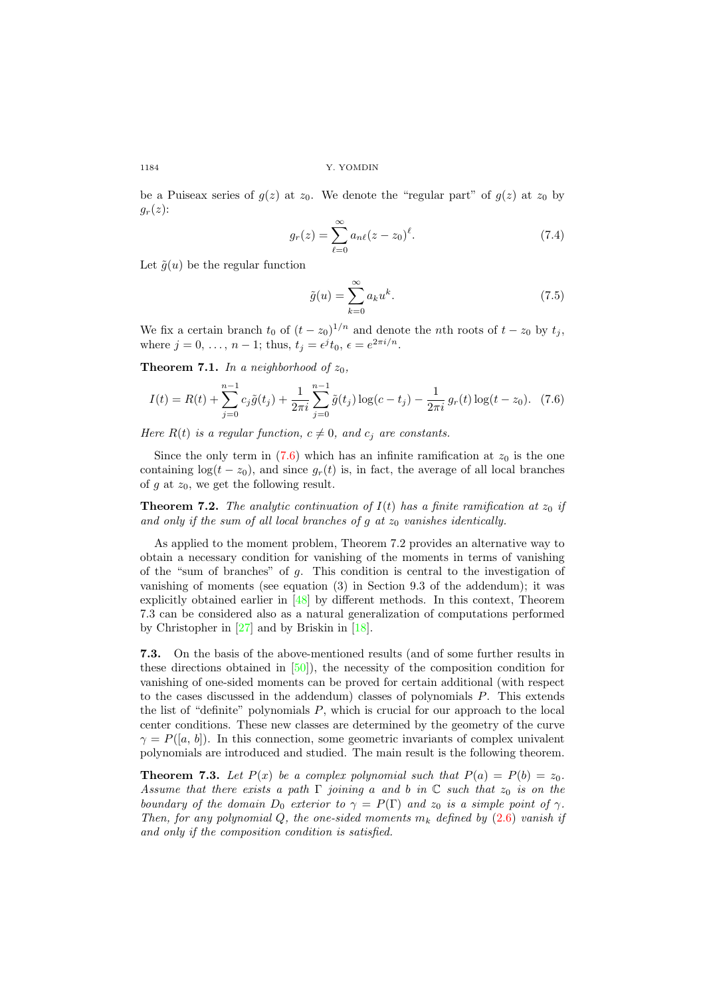be a Puiseax series of  $g(z)$  at  $z_0$ . We denote the "regular part" of  $g(z)$  at  $z_0$  by  $g_r(z)$ :

$$
g_r(z) = \sum_{\ell=0}^{\infty} a_{n\ell} (z - z_0)^{\ell}.
$$
 (7.4)

Let  $\tilde{g}(u)$  be the regular function

<span id="page-17-0"></span>
$$
\tilde{g}(u) = \sum_{k=0}^{\infty} a_k u^k.
$$
\n(7.5)

We fix a certain branch  $t_0$  of  $(t - z_0)^{1/n}$  and denote the nth roots of  $t - z_0$  by  $t_j$ , where  $j = 0, \ldots, n - 1$ ; thus,  $t_j = \epsilon^j t_0, \epsilon = e^{2\pi i/n}$ .

**Theorem 7.1.** In a neighborhood of  $z_0$ ,

$$
I(t) = R(t) + \sum_{j=0}^{n-1} c_j \tilde{g}(t_j) + \frac{1}{2\pi i} \sum_{j=0}^{n-1} \tilde{g}(t_j) \log(c - t_j) - \frac{1}{2\pi i} g_r(t) \log(t - z_0).
$$
 (7.6)

Here  $R(t)$  is a regular function,  $c \neq 0$ , and  $c<sub>i</sub>$  are constants.

Since the only term in  $(7.6)$  which has an infinite ramification at  $z_0$  is the one containing  $log(t - z_0)$ , and since  $g_r(t)$  is, in fact, the average of all local branches of  $g$  at  $z_0$ , we get the following result.

**Theorem 7.2.** The analytic continuation of  $I(t)$  has a finite ramification at  $z_0$  if and only if the sum of all local branches of g at  $z_0$  vanishes identically.

As applied to the moment problem, Theorem 7.2 provides an alternative way to obtain a necessary condition for vanishing of the moments in terms of vanishing of the "sum of branches" of  $q$ . This condition is central to the investigation of vanishing of moments (see equation (3) in Section 9.3 of the addendum); it was explicitly obtained earlier in [\[48\]](#page-27-9) by different methods. In this context, Theorem 7.3 can be considered also as a natural generalization of computations performed by Christopher in [\[27\]](#page-26-9) and by Briskin in [\[18\]](#page-26-23).

7.3. On the basis of the above-mentioned results (and of some further results in these directions obtained in  $[50]$ , the necessity of the composition condition for vanishing of one-sided moments can be proved for certain additional (with respect to the cases discussed in the addendum) classes of polynomials P. This extends the list of "definite" polynomials P, which is crucial for our approach to the local center conditions. These new classes are determined by the geometry of the curve  $\gamma = P([a, b])$ . In this connection, some geometric invariants of complex univalent polynomials are introduced and studied. The main result is the following theorem.

**Theorem 7.3.** Let  $P(x)$  be a complex polynomial such that  $P(a) = P(b) = z_0$ . Assume that there exists a path  $\Gamma$  joining a and b in  $\mathbb C$  such that  $z_0$  is on the boundary of the domain  $D_0$  exterior to  $\gamma = P(\Gamma)$  and  $z_0$  is a simple point of  $\gamma$ . Then, for any polynomial Q, the one-sided moments  $m_k$  defined by [\(2.6\)](#page-4-0) vanish if and only if the composition condition is satisfied.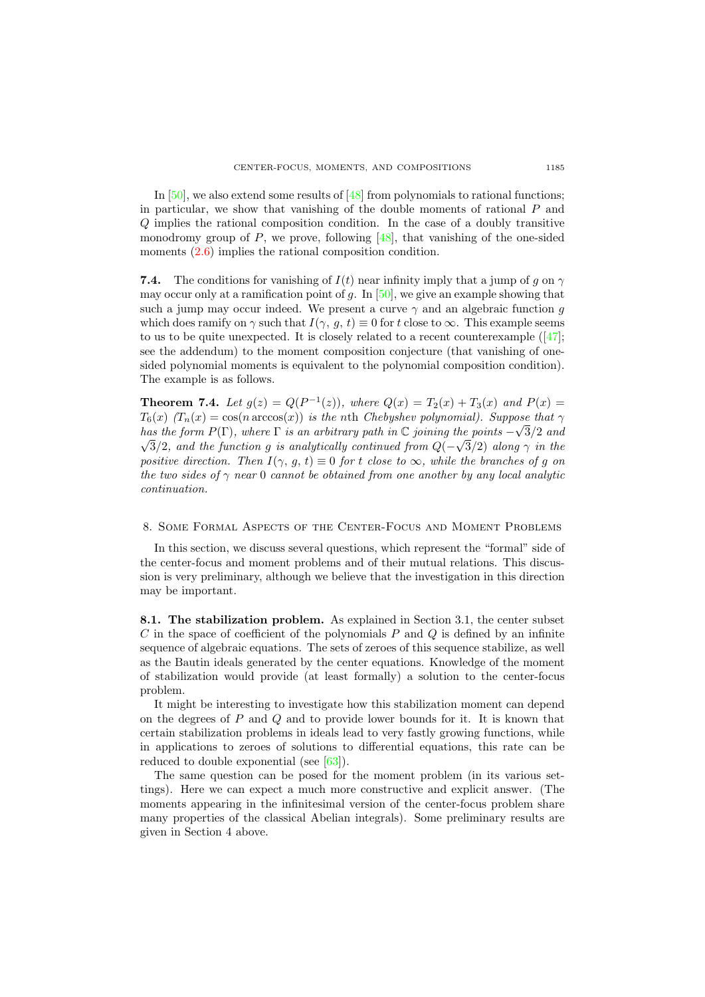In [\[50\]](#page-27-11), we also extend some results of [\[48\]](#page-27-9) from polynomials to rational functions; in particular, we show that vanishing of the double moments of rational  $P$  and Q implies the rational composition condition. In the case of a doubly transitive monodromy group of  $P$ , we prove, following [\[48\]](#page-27-9), that vanishing of the one-sided moments  $(2.6)$  implies the rational composition condition.

**7.4.** The conditions for vanishing of  $I(t)$  near infinity imply that a jump of g on  $\gamma$ may occur only at a ramification point of g. In  $[50]$ , we give an example showing that such a jump may occur indeed. We present a curve  $\gamma$  and an algebraic function g which does ramify on  $\gamma$  such that  $I(\gamma, g, t) \equiv 0$  for t close to  $\infty$ . This example seems tous to be quite unexpected. It is closely related to a recent counterexample  $(47)$ ; see the addendum) to the moment composition conjecture (that vanishing of onesided polynomial moments is equivalent to the polynomial composition condition). The example is as follows.

**Theorem 7.4.** Let  $g(z) = Q(P^{-1}(z))$ , where  $Q(x) = T_2(x) + T_3(x)$  and  $P(x) =$  $T_6(x)$   $(T_n(x) = \cos(n \arccos(x))$  is the nth Chebyshev polynomial). Suppose that  $\gamma$ has the form  $P(\Gamma)$ , where  $\Gamma$  is an arbitrary path in  $\mathbb C$  joining the points  $-\sqrt{3}/2$  and 3/2, and the function g is analytically continued from  $Q(-\sqrt{3}/2)$  along  $\gamma$  in the positive direction. Then  $I(\gamma, q, t) \equiv 0$  for t close to  $\infty$ , while the branches of q on the two sides of  $\gamma$  near 0 cannot be obtained from one another by any local analytic continuation.

## 8. Some Formal Aspects of the Center-Focus and Moment Problems

In this section, we discuss several questions, which represent the "formal" side of the center-focus and moment problems and of their mutual relations. This discussion is very preliminary, although we believe that the investigation in this direction may be important.

8.1. The stabilization problem. As explained in Section 3.1, the center subset  $C$  in the space of coefficient of the polynomials  $P$  and  $Q$  is defined by an infinite sequence of algebraic equations. The sets of zeroes of this sequence stabilize, as well as the Bautin ideals generated by the center equations. Knowledge of the moment of stabilization would provide (at least formally) a solution to the center-focus problem.

It might be interesting to investigate how this stabilization moment can depend on the degrees of  $P$  and  $Q$  and to provide lower bounds for it. It is known that certain stabilization problems in ideals lead to very fastly growing functions, while in applications to zeroes of solutions to differential equations, this rate can be reduced to double exponential (see [\[63\]](#page-28-2)).

The same question can be posed for the moment problem (in its various settings). Here we can expect a much more constructive and explicit answer. (The moments appearing in the infinitesimal version of the center-focus problem share many properties of the classical Abelian integrals). Some preliminary results are given in Section 4 above.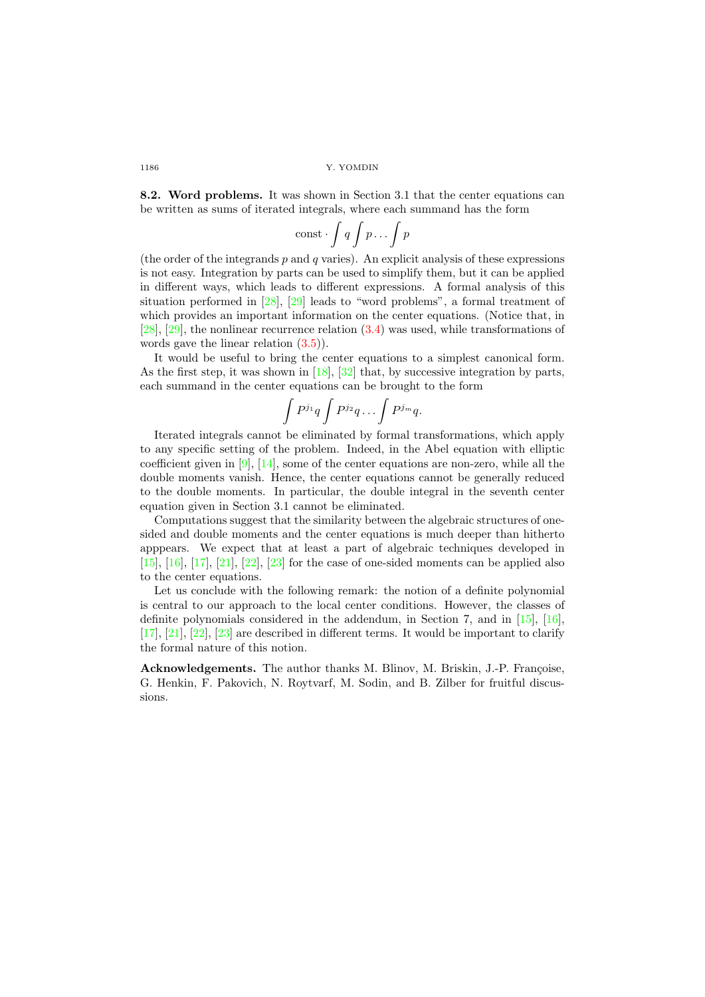8.2. Word problems. It was shown in Section 3.1 that the center equations can be written as sums of iterated integrals, where each summand has the form

$$
\mathrm{const}\cdot\int q\int p\ldots\int p
$$

(the order of the integrands  $p$  and  $q$  varies). An explicit analysis of these expressions is not easy. Integration by parts can be used to simplify them, but it can be applied in different ways, which leads to different expressions. A formal analysis of this situation performed in [\[28\]](#page-26-10), [\[29\]](#page-26-11) leads to "word problems", a formal treatment of which provides an important information on the center equations. (Notice that, in [\[28\]](#page-26-10), [\[29\]](#page-26-11), the nonlinear recurrence relation [\(3.4\)](#page-9-0) was used, while transformations of words gave the linear relation [\(3.5\)](#page-9-1)).

It would be useful to bring the center equations to a simplest canonical form. As the first step, it was shown in [\[18\]](#page-26-23), [\[32\]](#page-26-24) that, by successive integration by parts, each summand in the center equations can be brought to the form

$$
\int P^{j_1}q\int P^{j_2}q\ldots \int P^{j_m}q.
$$

Iterated integrals cannot be eliminated by formal transformations, which apply to any specific setting of the problem. Indeed, in the Abel equation with elliptic coefficient given in [\[9\]](#page-25-4), [\[14\]](#page-26-22), some of the center equations are non-zero, while all the double moments vanish. Hence, the center equations cannot be generally reduced to the double moments. In particular, the double integral in the seventh center equation given in Section 3.1 cannot be eliminated.

Computations suggest that the similarity between the algebraic structures of onesided and double moments and the center equations is much deeper than hitherto apppears. We expect that at least a part of algebraic techniques developed in [\[15\]](#page-26-20), [\[16\]](#page-26-21), [\[17\]](#page-26-3), [\[21\]](#page-26-1), [\[22\]](#page-26-14), [\[23\]](#page-26-15) for the case of one-sided moments can be applied also to the center equations.

Let us conclude with the following remark: the notion of a definite polynomial is central to our approach to the local center conditions. However, the classes of definite polynomials considered in the addendum, in Section 7, and in [\[15\]](#page-26-20), [\[16\]](#page-26-21), [\[17\]](#page-26-3), [\[21\]](#page-26-1), [\[22\]](#page-26-14), [\[23\]](#page-26-15) are described in different terms. It would be important to clarify the formal nature of this notion.

Acknowledgements. The author thanks M. Blinov, M. Briskin, J.-P. Françoise, G. Henkin, F. Pakovich, N. Roytvarf, M. Sodin, and B. Zilber for fruitful discussions.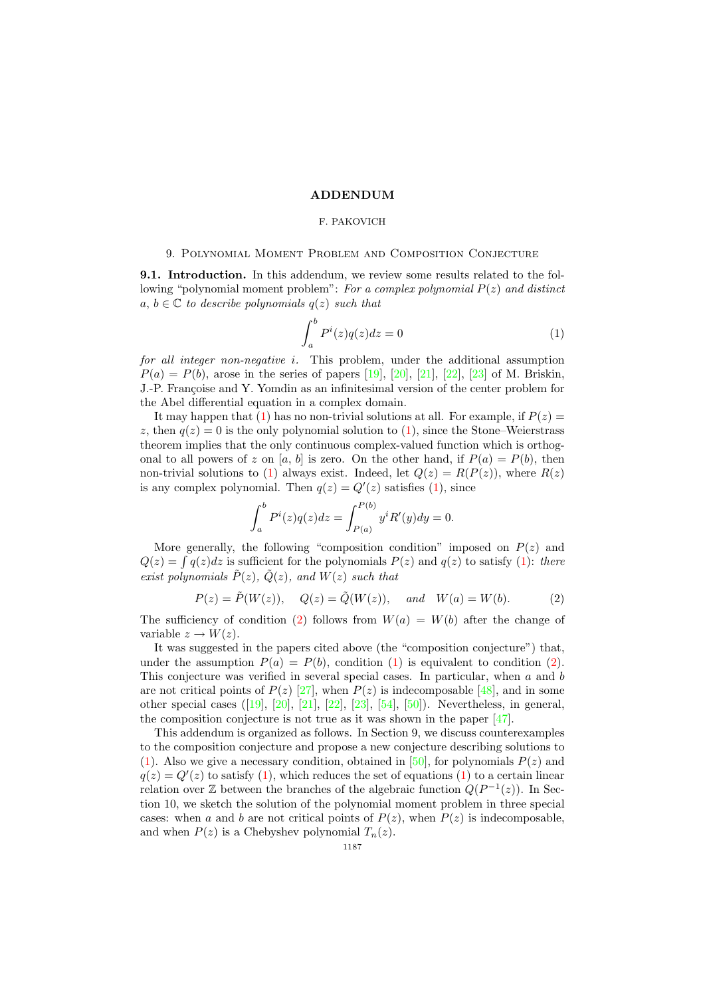#### ADDENDUM

## F. PAKOVICH

## 9. Polynomial Moment Problem and Composition Conjecture

9.1. Introduction. In this addendum, we review some results related to the following "polynomial moment problem": For a complex polynomial  $P(z)$  and distinct a,  $b \in \mathbb{C}$  to describe polynomials  $q(z)$  such that

<span id="page-20-0"></span>
$$
\int_{a}^{b} P^{i}(z)q(z)dz = 0
$$
 (1)

for all integer non-negative i. This problem, under the additional assumption  $P(a) = P(b)$ , arose in the series of papers [\[19\]](#page-26-12), [\[20\]](#page-26-13), [\[21\]](#page-26-1), [\[22\]](#page-26-14), [\[23\]](#page-26-15) of M. Briskin. J.-P. Francoise and Y. Yomdin as an infinitesimal version of the center problem for the Abel differential equation in a complex domain.

It may happen that [\(1\)](#page-20-0) has no non-trivial solutions at all. For example, if  $P(z)$ z, then  $q(z) = 0$  is the only polynomial solution to  $(1)$ , since the Stone–Weierstrass theorem implies that the only continuous complex-valued function which is orthogonal to all powers of z on [a, b] is zero. On the other hand, if  $P(a) = P(b)$ , then non-trivial solutions to [\(1\)](#page-20-0) always exist. Indeed, let  $Q(z) = R(P(z))$ , where  $R(z)$ is any complex polynomial. Then  $q(z) = Q'(z)$  satisfies [\(1\)](#page-20-0), since

<span id="page-20-1"></span>
$$
\int_{a}^{b} P^{i}(z)q(z)dz = \int_{P(a)}^{P(b)} y^{i} R'(y)dy = 0.
$$

More generally, the following "composition condition" imposed on  $P(z)$  and  $Q(z) = \int q(z)dz$  is sufficient for the polynomials  $P(z)$  and  $q(z)$  to satisfy [\(1\)](#page-20-0): there exist polynomials  $\tilde{P}(z)$ ,  $\tilde{Q}(z)$ , and  $W(z)$  such that

$$
P(z) = \tilde{P}(W(z)), \quad Q(z) = \tilde{Q}(W(z)), \quad and \quad W(a) = W(b).
$$
 (2)

The sufficiency of condition [\(2\)](#page-20-1) follows from  $W(a) = W(b)$  after the change of variable  $z \to W(z)$ .

It was suggested in the papers cited above (the "composition conjecture") that, under the assumption  $P(a) = P(b)$ , condition [\(1\)](#page-20-0) is equivalent to condition [\(2\)](#page-20-1). This conjecture was verified in several special cases. In particular, when a and b are not critical points of  $P(z)$  [\[27\]](#page-26-9), when  $P(z)$  is indecomposable [\[48\]](#page-27-9), and in some other special cases([\[19\]](#page-26-12), [\[20\]](#page-26-13), [\[21\]](#page-26-1), [\[22\]](#page-26-14), [\[23\]](#page-26-15), [\[54\]](#page-27-18), [\[50\]](#page-27-11)). Nevertheless, in general, the composition conjecture is not true as it was shown in the paper [\[47\]](#page-27-8).

This addendum is organized as follows. In Section 9, we discuss counterexamples to the composition conjecture and propose a new conjecture describing solutions to [\(1\)](#page-20-0). Also we give a necessary condition, obtained in [\[50\]](#page-27-11), for polynomials  $P(z)$  and  $q(z) = Q'(z)$  to satisfy [\(1\)](#page-20-0), which reduces the set of equations (1) to a certain linear relation over  $\mathbb Z$  between the branches of the algebraic function  $Q(P^{-1}(z))$ . In Section 10, we sketch the solution of the polynomial moment problem in three special cases: when a and b are not critical points of  $P(z)$ , when  $P(z)$  is indecomposable, and when  $P(z)$  is a Chebyshev polynomial  $T_n(z)$ .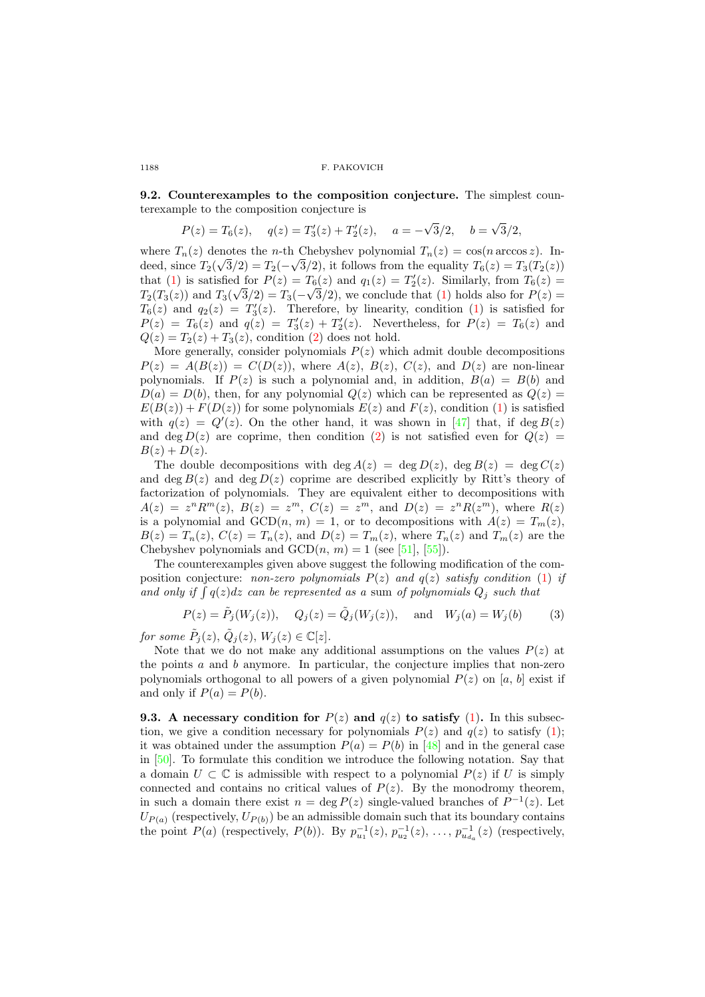1188 F. PAKOVICH

9.2. Counterexamples to the composition conjecture. The simplest counterexample to the composition conjecture is

$$
P(z) = T_6(z), \quad q(z) = T'_3(z) + T'_2(z), \quad a = -\sqrt{3}/2, \quad b = \sqrt{3}/2,
$$

where  $T_n(z)$  denotes the *n*-th Chebyshev polynomial  $T_n(z) = \cos(n \arccos z)$ . Indeed, since  $T_2(\sqrt{3}/2) = T_2(-\sqrt{3}/2)$ , it follows from the equality  $T_6(z) = T_3(T_2(z))$ that [\(1\)](#page-20-0) is satisfied for  $P(z) = T_6(z)$  and  $q_1(z) = T'_2(z)$ . Similarly, from  $T_6(z) =$  $T_2(T_3(z))$  and  $T_3(\sqrt{3}/2) = T_3(-\sqrt{3}/2)$ , we conclude that [\(1\)](#page-20-0) holds also for  $P(z) =$  $T_6(z)$  and  $q_2(z) = T'_3(z)$ . Therefore, by linearity, condition [\(1\)](#page-20-0) is satisfied for  $P(z) = T_6(z)$  and  $q(z) = T'_3(z) + T'_2(z)$ . Nevertheless, for  $P(z) = T_6(z)$  and  $Q(z) = T_2(z) + T_3(z)$ , condition [\(2\)](#page-20-1) does not hold.

More generally, consider polynomials  $P(z)$  which admit double decompositions  $P(z) = A(B(z)) = C(D(z))$ , where  $A(z)$ ,  $B(z)$ ,  $C(z)$ , and  $D(z)$  are non-linear polynomials. If  $P(z)$  is such a polynomial and, in addition,  $B(a) = B(b)$  and  $D(a) = D(b)$ , then, for any polynomial  $Q(z)$  which can be represented as  $Q(z)$  $E(B(z)) + F(D(z))$  for some polynomials  $E(z)$  and  $F(z)$ , condition [\(1\)](#page-20-0) is satisfied with  $q(z) = Q'(z)$ . On the other hand, it was shown in [\[47\]](#page-27-8) that, if deg  $B(z)$ and deg  $D(z)$  are coprime, then condition [\(2\)](#page-20-1) is not satisfied even for  $Q(z)$  $B(z) + D(z)$ .

The double decompositions with deg  $A(z) = \deg D(z)$ ,  $\deg B(z) = \deg C(z)$ and deg  $B(z)$  and deg  $D(z)$  coprime are described explicitly by Ritt's theory of factorization of polynomials. They are equivalent either to decompositions with  $A(z) = z^n R^m(z), B(z) = z^m, C(z) = z^m, \text{ and } D(z) = z^n R(z^m), \text{ where } R(z)$ is a polynomial and  $GCD(n, m) = 1$ , or to decompositions with  $A(z) = T_m(z)$ ,  $B(z) = T_n(z)$ ,  $C(z) = T_n(z)$ , and  $D(z) = T_m(z)$ , where  $T_n(z)$  and  $T_m(z)$  are the Chebyshev polynomials and  $GCD(n, m) = 1$  (see [\[51\]](#page-27-12), [\[55\]](#page-27-13)).

The counterexamples given above suggest the following modification of the composition conjecture: non-zero polynomials  $P(z)$  and  $q(z)$  satisfy condition [\(1\)](#page-20-0) if and only if  $\int q(z)dz$  can be represented as a sum of polynomials  $Q_j$  such that

<span id="page-21-0"></span>
$$
P(z) = \tilde{P}_j(W_j(z)), \quad Q_j(z) = \tilde{Q}_j(W_j(z)), \quad \text{and} \quad W_j(a) = W_j(b)
$$
 (3)

for some  $\tilde{P}_j(z)$ ,  $\tilde{Q}_j(z)$ ,  $W_j(z) \in \mathbb{C}[z]$ .

Note that we do not make any additional assumptions on the values  $P(z)$  at the points  $a$  and  $b$  anymore. In particular, the conjecture implies that non-zero polynomials orthogonal to all powers of a given polynomial  $P(z)$  on [a, b] exist if and only if  $P(a) = P(b)$ .

**9.3.** A necessary condition for  $P(z)$  and  $q(z)$  to satisfy [\(1\)](#page-20-0). In this subsection, we give a condition necessary for polynomials  $P(z)$  and  $q(z)$  to satisfy [\(1\)](#page-20-0); it was obtained under the assumption  $P(a) = P(b)$  in [\[48\]](#page-27-9) and in the general case in [\[50\]](#page-27-11). To formulate this condition we introduce the following notation. Say that a domain  $U \subset \mathbb{C}$  is admissible with respect to a polynomial  $P(z)$  if U is simply connected and contains no critical values of  $P(z)$ . By the monodromy theorem, in such a domain there exist  $n = \deg P(z)$  single-valued branches of  $P^{-1}(z)$ . Let  $U_{P(a)}$  (respectively,  $U_{P(b)}$ ) be an admissible domain such that its boundary contains the point  $P(a)$  (respectively,  $P(b)$ ). By  $p_{u_1}^{-1}(z)$ ,  $p_{u_2}^{-1}(z)$ , ...,  $p_{u_{d_a}}^{-1}(z)$  (respectively,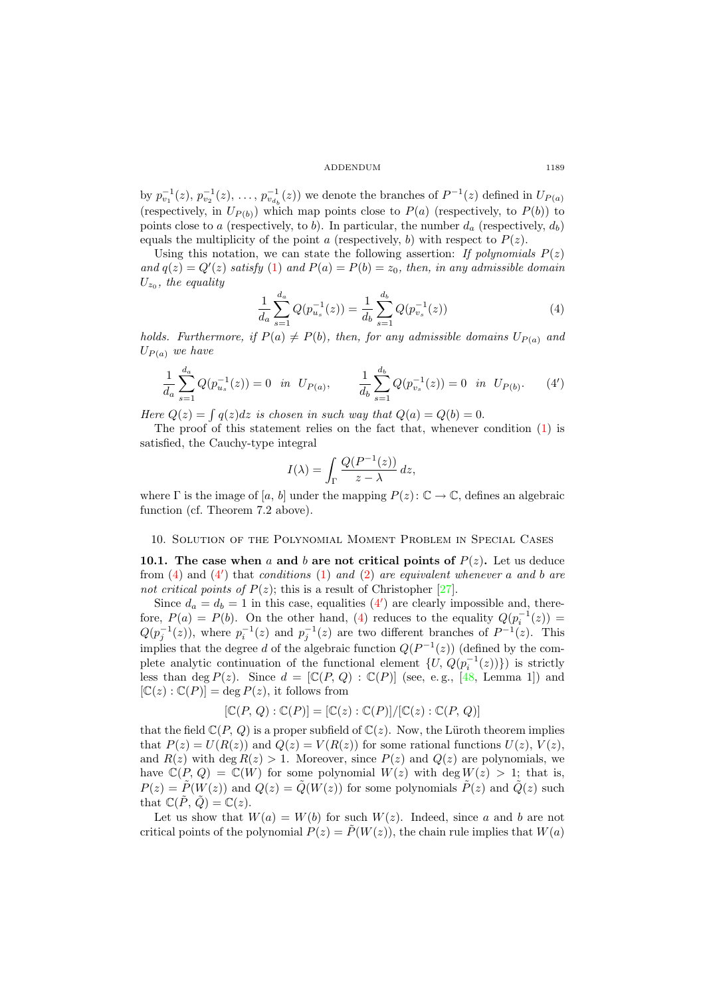ADDENDUM 1189

by  $p_{v_1}^{-1}(z), p_{v_2}^{-1}(z), \ldots, p_{v_{d_b}}^{-1}(z)$  we denote the branches of  $P^{-1}(z)$  defined in  $U_{P(a)}$ (respectively, in  $U_{P(b)}$ ) which map points close to  $P(a)$  (respectively, to  $P(b)$ ) to points close to a (respectively, to b). In particular, the number  $d_a$  (respectively,  $d_b$ ) equals the multiplicity of the point a (respectively, b) with respect to  $P(z)$ .

Using this notation, we can state the following assertion: If polynomials  $P(z)$ and  $q(z) = Q'(z)$  satisfy [\(1\)](#page-20-0) and  $P(a) = P(b) = z_0$ , then, in any admissible domain  $U_{z_0}$ , the equality

<span id="page-22-0"></span>
$$
\frac{1}{d_a} \sum_{s=1}^{d_a} Q(p_{u_s}^{-1}(z)) = \frac{1}{d_b} \sum_{s=1}^{d_b} Q(p_{v_s}^{-1}(z))
$$
\n(4)

holds. Furthermore, if  $P(a) \neq P(b)$ , then, for any admissible domains  $U_{P(a)}$  and  $U_{P(a)}$  we have

$$
\frac{1}{d_a} \sum_{s=1}^{d_a} Q(p_{u_s}^{-1}(z)) = 0 \quad \text{in} \quad U_{P(a)}, \qquad \frac{1}{d_b} \sum_{s=1}^{d_b} Q(p_{v_s}^{-1}(z)) = 0 \quad \text{in} \quad U_{P(b)}.\tag{4'}
$$

Here  $Q(z) = \int q(z)dz$  is chosen in such way that  $Q(a) = Q(b) = 0$ .

The proof of this statement relies on the fact that, whenever condition [\(1\)](#page-20-0) is satisfied, the Cauchy-type integral

<span id="page-22-1"></span>
$$
I(\lambda) = \int_{\Gamma} \frac{Q(P^{-1}(z))}{z - \lambda} dz,
$$

where  $\Gamma$  is the image of [a, b] under the mapping  $P(z): \mathbb{C} \to \mathbb{C}$ , defines an algebraic function (cf. Theorem 7.2 above).

# 10. Solution of the Polynomial Moment Problem in Special Cases

10.1. The case when a and b are not critical points of  $P(z)$ . Let us deduce from  $(4)$  and  $(4')$  that *conditions*  $(1)$  *and*  $(2)$  *are equivalent whenever a and b are* not critical points of  $P(z)$ ; this is a result of Christopher [\[27\]](#page-26-9).

Since  $d_a = d_b = 1$  in this case, equalities  $(4')$  are clearly impossible and, therefore,  $P(a) = P(b)$ . On the other hand, [\(4\)](#page-22-0) reduces to the equality  $Q(p_i^{-1}(z)) =$  $Q(p_j^{-1}(z))$ , where  $p_i^{-1}(z)$  and  $p_j^{-1}(z)$  are two different branches of  $P^{-1}(z)$ . This implies that the degree d of the algebraic function  $Q(P^{-1}(z))$  (defined by the complete analytic continuation of the functional element  $\{U, Q(p_i^{-1}(z))\}$  is strictly less than deg  $P(z)$ . Since  $d = [\mathbb{C}(P, Q) : \mathbb{C}(P)]$  (see, e.g., [\[48,](#page-27-9) Lemma 1]) and  $[\mathbb{C}(z) : \mathbb{C}(P)] = \text{deg } P(z)$ , it follows from

$$
[\mathbb{C}(P, Q) : \mathbb{C}(P)] = [\mathbb{C}(z) : \mathbb{C}(P)] / [\mathbb{C}(z) : \mathbb{C}(P, Q)]
$$

that the field  $\mathbb{C}(P, Q)$  is a proper subfield of  $\mathbb{C}(z)$ . Now, the Lüroth theorem implies that  $P(z) = U(R(z))$  and  $Q(z) = V(R(z))$  for some rational functions  $U(z)$ ,  $V(z)$ . and  $R(z)$  with deg  $R(z) > 1$ . Moreover, since  $P(z)$  and  $Q(z)$  are polynomials, we have  $\mathbb{C}(P, Q) = \mathbb{C}(W)$  for some polynomial  $W(z)$  with deg  $W(z) > 1$ ; that is,  $P(z) = \tilde{P}(W(z))$  and  $Q(z) = \tilde{Q}(W(z))$  for some polynomials  $\tilde{P}(z)$  and  $\tilde{Q}(z)$  such that  $\mathbb{C}(\tilde{P}, \tilde{Q}) = \mathbb{C}(z)$ .

Let us show that  $W(a) = W(b)$  for such  $W(z)$ . Indeed, since a and b are not critical points of the polynomial  $P(z) = P(W(z))$ , the chain rule implies that  $W(a)$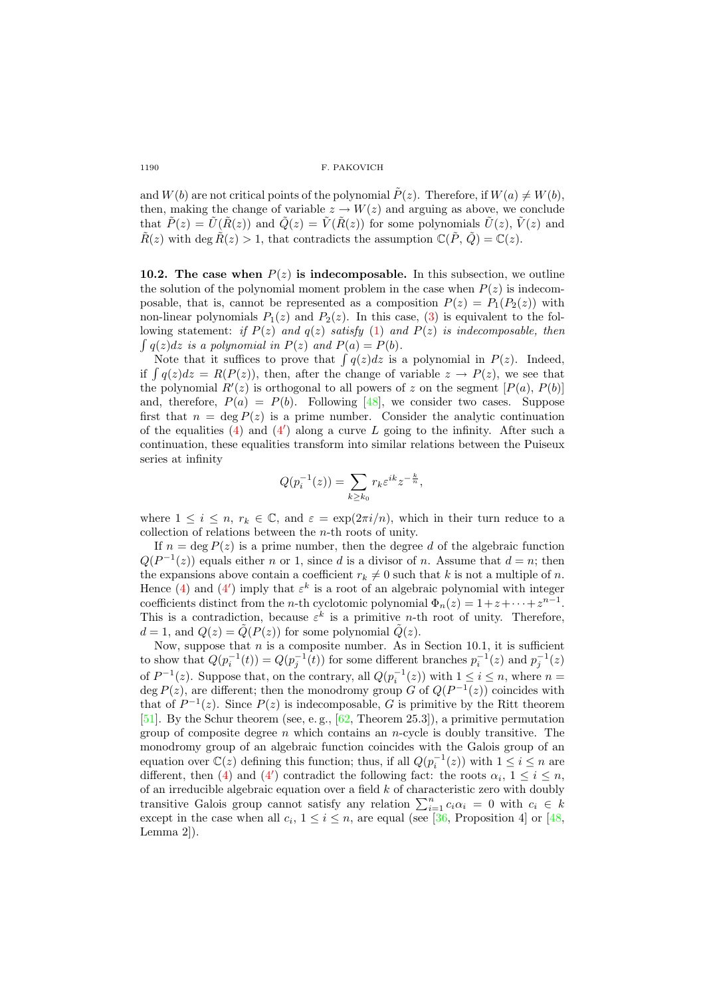1190 **F. PAKOVICH** 

and  $W(b)$  are not critical points of the polynomial  $\tilde{P}(z)$ . Therefore, if  $W(a) \neq W(b)$ , then, making the change of variable  $z \to W(z)$  and arguing as above, we conclude that  $\tilde{P}(z) = \tilde{U}(\tilde{R}(z))$  and  $\tilde{Q}(z) = \tilde{V}(\tilde{R}(z))$  for some polynomials  $\tilde{U}(z), \tilde{V}(z)$  and  $\tilde{R}(z)$  with deg  $\tilde{R}(z) > 1$ , that contradicts the assumption  $\mathbb{C}(\tilde{P}, \tilde{Q}) = \mathbb{C}(z)$ .

10.2. The case when  $P(z)$  is indecomposable. In this subsection, we outline the solution of the polynomial moment problem in the case when  $P(z)$  is indecomposable, that is, cannot be represented as a composition  $P(z) = P_1(P_2(z))$  with non-linear polynomials  $P_1(z)$  and  $P_2(z)$ . In this case, [\(3\)](#page-21-0) is equivalent to the following statement: if  $P(z)$  and  $q(z)$  satisfy [\(1\)](#page-20-0) and  $P(z)$  is indecomposable, then  $\int q(z)dz$  is a polynomial in  $P(z)$  and  $P(a) = P(b)$ .

Note that it suffices to prove that  $\int q(z)dz$  is a polynomial in  $P(z)$ . Indeed, if  $\int q(z)dz = R(P(z))$ , then, after the change of variable  $z \to P(z)$ , we see that the polynomial  $R'(z)$  is orthogonal to all powers of z on the segment  $[P(a), P(b)]$ and, therefore,  $P(a) = P(b)$ . Following [\[48\]](#page-27-9), we consider two cases. Suppose first that  $n = \deg P(z)$  is a prime number. Consider the analytic continuation of the equalities  $(4)$  and  $(4')$  along a curve L going to the infinity. After such a continuation, these equalities transform into similar relations between the Puiseux series at infinity

$$
Q(p_i^{-1}(z)) = \sum_{k \ge k_0} r_k \varepsilon^{ik} z^{-\frac{k}{n}},
$$

where  $1 \leq i \leq n$ ,  $r_k \in \mathbb{C}$ , and  $\varepsilon = \exp(2\pi i/n)$ , which in their turn reduce to a collection of relations between the n-th roots of unity.

If  $n = \deg P(z)$  is a prime number, then the degree d of the algebraic function  $Q(P^{-1}(z))$  equals either n or 1, since d is a divisor of n. Assume that  $d = n$ ; then the expansions above contain a coefficient  $r_k \neq 0$  such that k is not a multiple of n. Hence [\(4\)](#page-22-0) and [\(4](#page-22-1)') imply that  $\varepsilon^k$  is a root of an algebraic polynomial with integer coefficients distinct from the *n*-th cyclotomic polynomial  $\Phi_n(z) = 1 + z + \cdots + z^{n-1}$ . This is a contradiction, because  $\varepsilon^k$  is a primitive *n*-th root of unity. Therefore,  $d = 1$ , and  $Q(z) = \tilde{Q}(P(z))$  for some polynomial  $\tilde{Q}(z)$ .

Now, suppose that  $n$  is a composite number. As in Section 10.1, it is sufficient to show that  $Q(p_i^{-1}(t)) = Q(p_j^{-1}(t))$  for some different branches  $p_i^{-1}(z)$  and  $p_j^{-1}(z)$ of  $P^{-1}(z)$ . Suppose that, on the contrary, all  $Q(p_i^{-1}(z))$  with  $1 \le i \le n$ , where  $n =$ deg  $P(z)$ , are different; then the monodromy group G of  $Q(P^{-1}(z))$  coincides with that of  $P^{-1}(z)$ . Since  $P(z)$  is indecomposable, G is primitive by the Ritt theorem [\[51\]](#page-27-12). By the Schur theorem (see, e. g., [\[62,](#page-28-9) Theorem 25.3]), a primitive permutation group of composite degree  $n$  which contains an n-cycle is doubly transitive. The monodromy group of an algebraic function coincides with the Galois group of an equation over  $\mathbb{C}(z)$  defining this function; thus, if all  $Q(p_i^{-1}(z))$  with  $1 \leq i \leq n$  are different, then [\(4\)](#page-22-0) and [\(4](#page-22-1)') contradict the following fact: the roots  $\alpha_i$ ,  $1 \leq i \leq n$ , of an irreducible algebraic equation over a field  $k$  of characteristic zero with doubly transitive Galois group cannot satisfy any relation  $\sum_{i=1}^{n} c_i \alpha_i = 0$  with  $c_i \in k$ except in the case when all  $c_i$ ,  $1 \leq i \leq n$ , are equal (see [\[36,](#page-27-19) Proposition 4] or [\[48,](#page-27-9) Lemma 2]).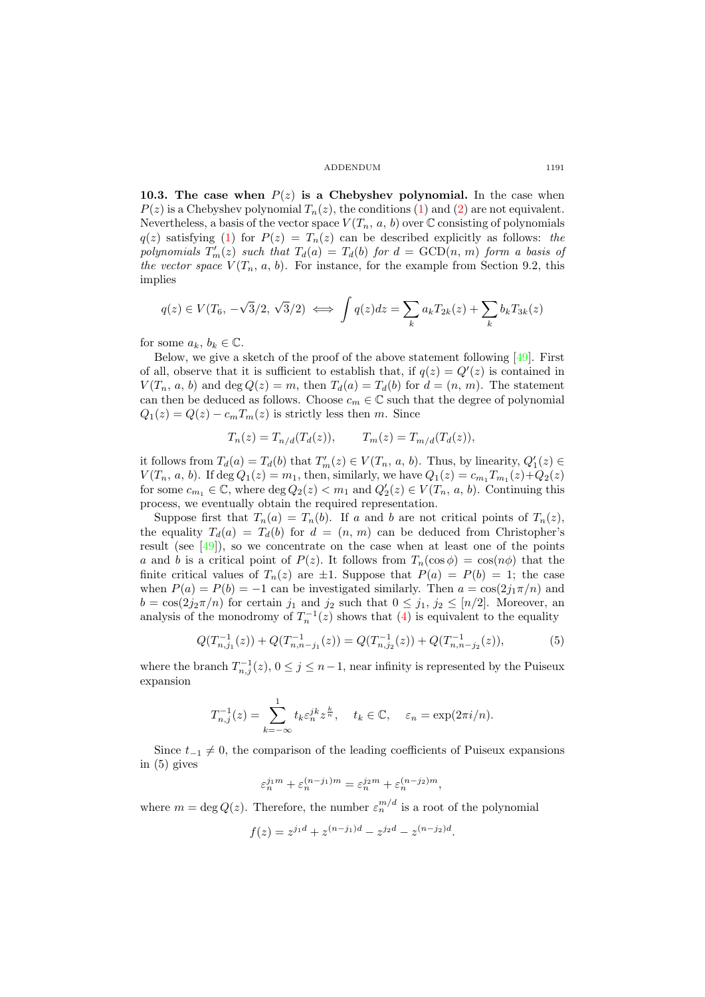#### ADDENDUM 1191

10.3. The case when  $P(z)$  is a Chebyshev polynomial. In the case when  $P(z)$  is a Chebyshev polynomial  $T_n(z)$ , the conditions [\(1\)](#page-20-0) and [\(2\)](#page-20-1) are not equivalent. Nevertheless, a basis of the vector space  $V(T_n, a, b)$  over  $\mathbb C$  consisting of polynomials  $q(z)$  satisfying [\(1\)](#page-20-0) for  $P(z) = T_n(z)$  can be described explicitly as follows: the polynomials  $T'_m(z)$  such that  $T_d(a) = T_d(b)$  for  $d = \text{GCD}(n, m)$  form a basis of the vector space  $V(T_n, a, b)$ . For instance, for the example from Section 9.2, this implies

$$
q(z) \in V(T_6, -\sqrt{3}/2, \sqrt{3}/2) \iff \int q(z)dz = \sum_k a_k T_{2k}(z) + \sum_k b_k T_{3k}(z)
$$

for some  $a_k, b_k \in \mathbb{C}$ .

Below, we give a sketch of the proof of the above statement following [\[49\]](#page-27-10). First of all, observe that it is sufficient to establish that, if  $q(z) = Q'(z)$  is contained in  $V(T_n, a, b)$  and  $\deg Q(z) = m$ , then  $T_d(a) = T_d(b)$  for  $d = (n, m)$ . The statement can then be deduced as follows. Choose  $c_m \in \mathbb{C}$  such that the degree of polynomial  $Q_1(z) = Q(z) - c_m T_m(z)$  is strictly less then m. Since

$$
T_n(z) = T_{n/d}(T_d(z)), \qquad T_m(z) = T_{m/d}(T_d(z)),
$$

it follows from  $T_d(a) = T_d(b)$  that  $T'_m(z) \in V(T_n, a, b)$ . Thus, by linearity,  $Q'_1(z) \in$  $V(T_n, a, b)$ . If  $\deg Q_1(z) = m_1$ , then, similarly, we have  $Q_1(z) = c_{m_1} T_{m_1}(z) + Q_2(z)$ for some  $c_{m_1} \in \mathbb{C}$ , where  $\deg Q_2(z) < m_1$  and  $Q'_2(z) \in V(T_n, a, b)$ . Continuing this process, we eventually obtain the required representation.

Suppose first that  $T_n(a) = T_n(b)$ . If a and b are not critical points of  $T_n(z)$ , the equality  $T_d(a) = T_d(b)$  for  $d = (n, m)$  can be deduced from Christopher's result (see [\[49\]](#page-27-10)), so we concentrate on the case when at least one of the points a and b is a critical point of  $P(z)$ . It follows from  $T_n(\cos \phi) = \cos(n\phi)$  that the finite critical values of  $T_n(z)$  are  $\pm 1$ . Suppose that  $P(a) = P(b) = 1$ ; the case when  $P(a) = P(b) = -1$  can be investigated similarly. Then  $a = \cos(2j_1\pi/n)$  and  $b = \cos(2j_2\pi/n)$  for certain  $j_1$  and  $j_2$  such that  $0 \leq j_1, j_2 \leq [n/2]$ . Moreover, an analysis of the monodromy of  $T_n^{-1}(z)$  shows that [\(4\)](#page-22-0) is equivalent to the equality

$$
Q(T_{n,j_1}^{-1}(z)) + Q(T_{n,n-j_1}^{-1}(z)) = Q(T_{n,j_2}^{-1}(z)) + Q(T_{n,n-j_2}^{-1}(z)),
$$
\n<sup>(5)</sup>

where the branch  $T_{n,j}^{-1}(z)$ ,  $0 \le j \le n-1$ , near infinity is represented by the Puiseux expansion

$$
T_{n,j}^{-1}(z) = \sum_{k=-\infty}^{-1} t_k \varepsilon_n^{jk} z^{\frac{k}{n}}, \quad t_k \in \mathbb{C}, \quad \varepsilon_n = \exp(2\pi i/n).
$$

Since  $t_{-1} \neq 0$ , the comparison of the leading coefficients of Puiseux expansions in (5) gives

$$
\varepsilon_n^{j_1m}+\varepsilon_n^{(n-j_1)m}=\varepsilon_n^{j_2m}+\varepsilon_n^{(n-j_2)m},
$$

where  $m = \deg Q(z)$ . Therefore, the number  $\varepsilon_n^{m/d}$  is a root of the polynomial

$$
f(z) = z^{j_1 d} + z^{(n-j_1)d} - z^{j_2 d} - z^{(n-j_2)d}.
$$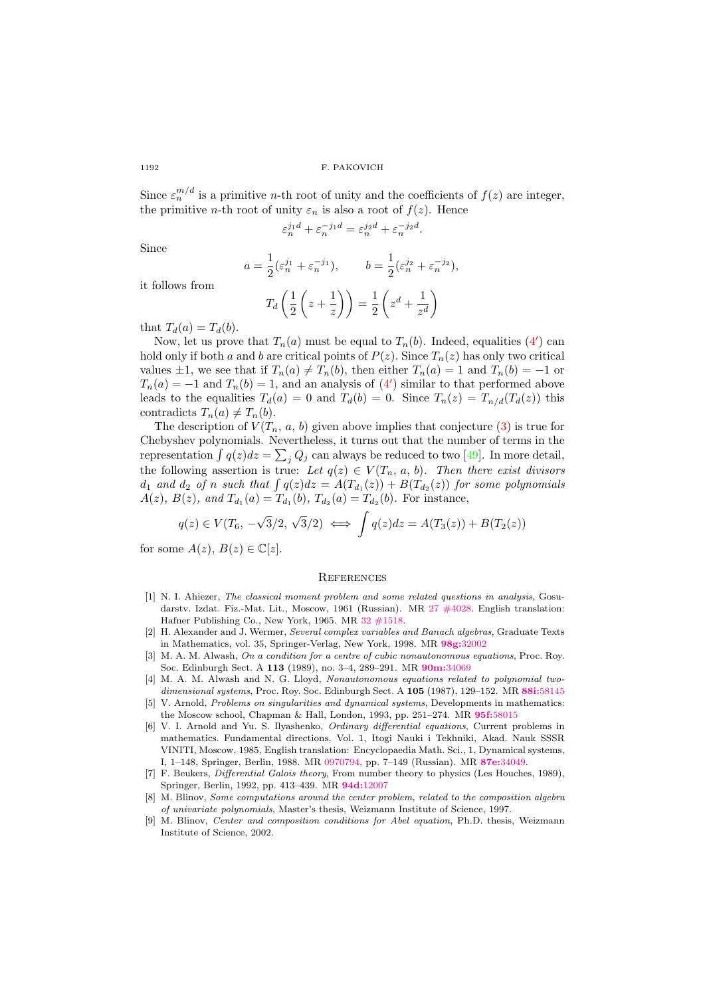1192 F. PAKOVICH

Since  $\varepsilon_n^{m/d}$  is a primitive *n*-th root of unity and the coefficients of  $f(z)$  are integer, the primitive *n*-th root of unity  $\varepsilon_n$  is also a root of  $f(z)$ . Hence

$$
\varepsilon_n^{j_1d} + \varepsilon_n^{-j_1d} = \varepsilon_n^{j_2d} + \varepsilon_n^{-j_2d}.
$$

Since

$$
a = \frac{1}{2} (\varepsilon_n^{j_1} + \varepsilon_n^{-j_1}), \qquad b = \frac{1}{2} (\varepsilon_n^{j_2} + \varepsilon_n^{-j_2}),
$$

$$
T_d \left( \frac{1}{2} \left( z + \frac{1}{z} \right) \right) = \frac{1}{2} \left( z^d + \frac{1}{z^d} \right)
$$

that  $T_d(a) = T_d(b)$ .

it follows from

 $\epsilon$ 

Now, let us prove that  $T_n(a)$  must be equal to  $T_n(b)$ . Indeed, equalities  $(4')$  can hold only if both a and b are critical points of  $P(z)$ . Since  $T_n(z)$  has only two critical values  $\pm 1$ , we see that if  $T_n(a) \neq T_n(b)$ , then either  $T_n(a) = 1$  and  $T_n(b) = -1$  or  $T_n(a) = -1$  and  $T_n(b) = 1$ , and an analysis of  $(4')$  similar to that performed above leads to the equalities  $T_d(a) = 0$  and  $T_d(b) = 0$ . Since  $T_n(z) = T_{n/d}(T_d(z))$  this contradicts  $T_n(a) \neq T_n(b)$ .

The description of  $V(T_n, a, b)$  given above implies that conjecture [\(3\)](#page-21-0) is true for Chebyshev polynomials. Nevertheless, it turns out that the number of terms in the representation  $\int q(z)dz = \sum_j Q_j$  can always be reduced to two [\[49\]](#page-27-10). In more detail, the following assertion is true: Let  $q(z) \in V(T_n, a, b)$ . Then there exist divisors  $d_1$  and  $d_2$  of n such that  $\int q(z)dz = A(T_{d_1}(z)) + B(T_{d_2}(z))$  for some polynomials  $A(z)$ ,  $B(z)$ , and  $T_{d_1}(a) = T_{d_1}(b)$ ,  $T_{d_2}(a) = T_{d_2}(b)$ . For instance,

$$
q(z) \in V(T_6, -\sqrt{3}/2, \sqrt{3}/2) \iff \int q(z)dz = A(T_3(z)) + B(T_2(z))
$$

for some  $A(z)$ ,  $B(z) \in \mathbb{C}[z]$ .

## **REFERENCES**

- <span id="page-25-8"></span>[1] N. I. Ahiezer, The classical moment problem and some related questions in analysis, Gosudarstv. Izdat. Fiz.-Mat. Lit., Moscow, 1961 (Russian). MR [27 #4028.](http://www.ams.org/mathscinet-getitem?mr=27 #4028) English translation: Hafner Publishing Co., New York, 1965. MR [32 #1518.](http://www.ams.org/mathscinet-getitem?mr=32:1518)
- <span id="page-25-6"></span>[2] H. Alexander and J. Wermer, Several complex variables and Banach algebras, Graduate Texts in Mathematics, vol. 35, Springer-Verlag, New York, 1998. MR 98g:[32002](http://www.ams.org/mathscinet-getitem?mr=98g:32002)
- <span id="page-25-3"></span>[3] M. A. M. Alwash, On a condition for a centre of cubic nonautonomous equations, Proc. Roy. Soc. Edinburgh Sect. A 113 (1989), no. 3–4, 289–291. MR 90m:[34069](http://www.ams.org/mathscinet-getitem?mr=90m:34069)
- <span id="page-25-2"></span>[4] M. A. M. Alwash and N. G. Lloyd, Nonautonomous equations related to polynomial two-dimensional systems, Proc. Roy. Soc. Edinburgh Sect. A 105 (1987), 129-152. MR 88i:[58145](http://www.ams.org/mathscinet-getitem?mr=88i:58145)
- <span id="page-25-0"></span>[5] V. Arnold, Problems on singularities and dynamical systems, Developments in mathematics: the Moscow school, Chapman & Hall, London, 1993, pp. 251–274. MR 95f:[58015](http://www.ams.org/mathscinet-getitem?mr=95f:58015)
- <span id="page-25-1"></span>[6] V. I. Arnold and Yu. S. Ilyashenko, Ordinary differential equations, Current problems in mathematics. Fundamental directions, Vol. 1, Itogi Nauki i Tekhniki, Akad. Nauk SSSR VINITI, Moscow, 1985, English translation: Encyclopaedia Math. Sci., 1, Dynamical systems, I, 1–148, Springer, Berlin, 1988. MR [0970794,](http://www.ams.org/mathscinet-getitem?mr=0970794) pp. 7–149 (Russian). MR 87e:[34049.](http://www.ams.org/mathscinet-getitem?mr=87e:34049)
- <span id="page-25-5"></span>[7] F. Beukers, *Differential Galois theory*, From number theory to physics (Les Houches, 1989). Springer, Berlin, 1992, pp. 413–439. MR 94d:[12007](http://www.ams.org/mathscinet-getitem?mr=94d:12007)
- <span id="page-25-7"></span>[8] M. Blinov, Some computations around the center problem, related to the composition algebra of univariate polynomials, Master's thesis, Weizmann Institute of Science, 1997.
- <span id="page-25-4"></span>[9] M. Blinov, Center and composition conditions for Abel equation, Ph.D. thesis, Weizmann Institute of Science, 2002.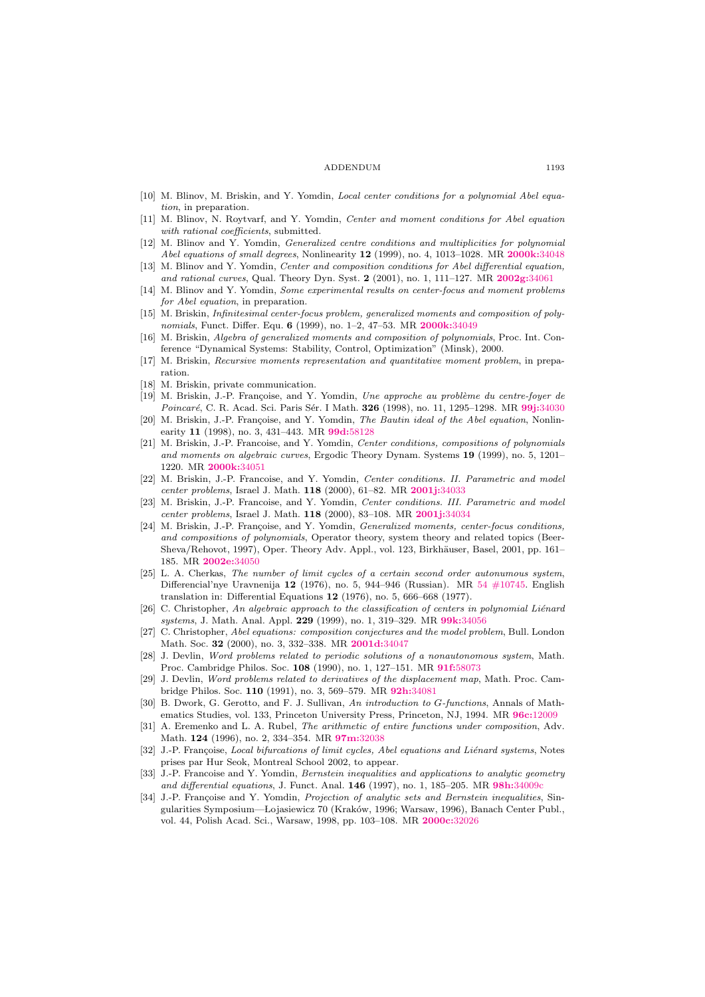#### ADDENDUM 1193

- <span id="page-26-4"></span>[10] M. Blinov, M. Briskin, and Y. Yomdin, *Local center conditions for a polynomial Abel equa*tion, in preparation.
- <span id="page-26-5"></span>[11] M. Blinov, N. Roytvarf, and Y. Yomdin, Center and moment conditions for Abel equation with rational coefficients, submitted.
- <span id="page-26-16"></span>[12] M. Blinov and Y. Yomdin, Generalized centre conditions and multiplicities for polynomial Abel equations of small degrees, Nonlinearity 12 (1999), no. 4, 1013–1028. MR [2000k:](http://www.ams.org/mathscinet-getitem?mr=2000k:34048)34048
- <span id="page-26-2"></span>[13] M. Blinov and Y. Yomdin, *Center and composition conditions for Abel differential equation*, and rational curves, Qual. Theory Dyn. Syst. 2 (2001), no. 1, 111-127. MR [2002g:](http://www.ams.org/mathscinet-getitem?mr=2002g:34061)34061
- <span id="page-26-22"></span>[14] M. Blinov and Y. Yomdin, Some experimental results on center-focus and moment problems for Abel equation, in preparation.
- <span id="page-26-20"></span>[15] M. Briskin, Infinitesimal center-focus problem, generalized moments and composition of poly-nomials, Funct. Differ. Equ. 6 (1999), no. 1-2, 47-53. MR [2000k:](http://www.ams.org/mathscinet-getitem?mr=2000k:34049)34049
- <span id="page-26-21"></span>[16] M. Briskin, Algebra of generalized moments and composition of polynomials, Proc. Int. Conference "Dynamical Systems: Stability, Control, Optimization" (Minsk), 2000.
- <span id="page-26-3"></span>[17] M. Briskin, Recursive moments representation and quantitative moment problem, in preparation.
- <span id="page-26-23"></span>[18] M. Briskin, private communication.
- <span id="page-26-12"></span>[19] M. Briskin, J.-P. Françoise, and Y. Yomdin, Une approche au problème du centre-foyer de Poincaré, C. R. Acad. Sci. Paris Sér. I Math. 326 (1998), no. 11, 1295-1298. MR 99j:[34030](http://www.ams.org/mathscinet-getitem?mr=99j:34030)
- <span id="page-26-13"></span>[20] M. Briskin, J.-P. Françoise, and Y. Yomdin, The Bautin ideal of the Abel equation, Nonlinearity 11 (1998), no. 3, 431–443. MR 99d:[58128](http://www.ams.org/mathscinet-getitem?mr=99d:58128)
- <span id="page-26-1"></span>[21] M. Briskin, J.-P. Francoise, and Y. Yomdin, Center conditions, compositions of polynomials and moments on algebraic curves, Ergodic Theory Dynam. Systems 19 (1999), no. 5, 1201– 1220. MR [2000k:](http://www.ams.org/mathscinet-getitem?mr=2000k:34051)34051
- <span id="page-26-14"></span>[22] M. Briskin, J.-P. Francoise, and Y. Yomdin, Center conditions. II. Parametric and model center problems, Israel J. Math. 118 (2000), 61-82. MR [2001j:](http://www.ams.org/mathscinet-getitem?mr=2001j:34033)34033
- <span id="page-26-15"></span>[23] M. Briskin, J.-P. Francoise, and Y. Yomdin, Center conditions. III. Parametric and model center problems, Israel J. Math. 118 (2000), 83–108. MR [2001j:](http://www.ams.org/mathscinet-getitem?mr=2001j:34034)34034
- <span id="page-26-17"></span>[24] M. Briskin, J.-P. Françoise, and Y. Yomdin, *Generalized moments, center-focus conditions*, and compositions of polynomials, Operator theory, system theory and related topics (Beer-Sheva/Rehovot, 1997), Oper. Theory Adv. Appl., vol. 123, Birkhäuser, Basel, 2001, pp. 161-185. MR [2002e:](http://www.ams.org/mathscinet-getitem?mr=2002e:34050)34050
- <span id="page-26-8"></span>[25] L. A. Cherkas, The number of limit cycles of a certain second order autonumous system, Differencial'nye Uravnenija 12 (1976), no. 5, 944–946 (Russian). MR [54 #10745.](http://www.ams.org/mathscinet-getitem?mr=54:10745) English translation in: Differential Equations 12 (1976), no. 5, 666–668 (1977).
- <span id="page-26-0"></span> $[26]$  C. Christopher, An algebraic approach to the classification of centers in polynomial Liénard systems, J. Math. Anal. Appl. 229 (1999), no. 1, 319-329. MR 99k:[34056](http://www.ams.org/mathscinet-getitem?mr=99k:34056)
- <span id="page-26-9"></span>[27] C. Christopher, Abel equations: composition conjectures and the model problem, Bull. London Math. Soc. 32 (2000), no. 3, 332–338. MR [2001d:](http://www.ams.org/mathscinet-getitem?mr=2001d:34047)34047
- <span id="page-26-10"></span>[28] J. Devlin, Word problems related to periodic solutions of a nonautonomous system, Math. Proc. Cambridge Philos. Soc. 108 (1990), no. 1, 127–151. MR 91f:[58073](http://www.ams.org/mathscinet-getitem?mr=91f:58073)
- <span id="page-26-11"></span>[29] J. Devlin, Word problems related to derivatives of the displacement map, Math. Proc. Cambridge Philos. Soc. 110 (1991), no. 3, 569–579. MR 92h:[34081](http://www.ams.org/mathscinet-getitem?mr=92h:34081)
- <span id="page-26-6"></span>[30] B. Dwork, G. Gerotto, and F. J. Sullivan, An introduction to G-functions, Annals of Mathematics Studies, vol. 133, Princeton University Press, Princeton, NJ, 1994. MR 96c:[12009](http://www.ams.org/mathscinet-getitem?mr=96c:12009)
- <span id="page-26-7"></span>[31] A. Eremenko and L. A. Rubel, The arithmetic of entire functions under composition, Adv. Math. 124 (1996), no. 2, 334–354. MR 97m:[32038](http://www.ams.org/mathscinet-getitem?mr=97m:32038)
- <span id="page-26-24"></span>J.-P. Françoise, Local bifurcations of limit cycles, Abel equations and Liénard systems, Notes prises par Hur Seok, Montreal School 2002, to appear.
- <span id="page-26-18"></span>[33] J.-P. Francoise and Y. Yomdin, Bernstein inequalities and applications to analytic geometry and differential equations, J. Funct. Anal. 146 (1997), no. 1, 185–205. MR 98h:[34009c](http://www.ams.org/mathscinet-getitem?mr=98h:34009c)
- <span id="page-26-19"></span>[34] J.-P. Françoise and Y. Yomdin, Projection of analytic sets and Bernstein inequalities, Singularities Symposium—Lojasiewicz 70 (Kraków, 1996; Warsaw, 1996), Banach Center Publ., vol. 44, Polish Acad. Sci., Warsaw, 1998, pp. 103–108. MR [2000c:](http://www.ams.org/mathscinet-getitem?mr=2000c:32026)32026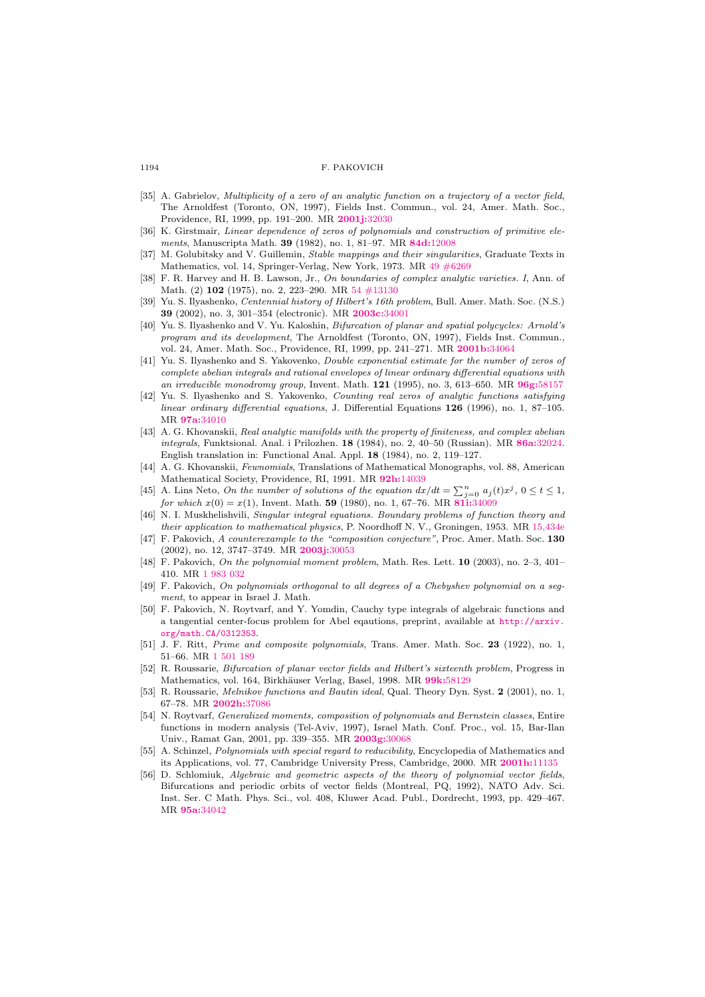#### 1194 F. PAKOVICH

- <span id="page-27-3"></span>[35] A. Gabrielov, Multiplicity of a zero of an analytic function on a trajectory of a vector field, The Arnoldfest (Toronto, ON, 1997), Fields Inst. Commun., vol. 24, Amer. Math. Soc., Providence, RI, 1999, pp. 191–200. MR [2001j:](http://www.ams.org/mathscinet-getitem?mr=2001j:32030)32030
- <span id="page-27-19"></span>[36] K. Girstmair, Linear dependence of zeros of polynomials and construction of primitive elements, Manuscripta Math. 39 (1982), no. 1, 81–97. MR 84d:[12008](http://www.ams.org/mathscinet-getitem?mr=84d:12008)
- <span id="page-27-15"></span>[37] M. Golubitsky and V. Guillemin, *Stable mappings and their singularities*, Graduate Texts in Mathematics, vol. 14, Springer-Verlag, New York, 1973. MR [49 #6269](http://www.ams.org/mathscinet-getitem?mr=49:6269)
- <span id="page-27-14"></span>[38] F. R. Harvey and H. B. Lawson, Jr., On boundaries of complex analytic varieties. I, Ann. of Math. (2) 102 (1975), no. 2, 223–290. MR [54 #13130](http://www.ams.org/mathscinet-getitem?mr=54:13130)
- <span id="page-27-1"></span>[39] Yu. S. Ilyashenko, Centennial history of Hilbert's 16th problem, Bull. Amer. Math. Soc. (N.S.) 39 (2002), no. 3, 301–354 (electronic). MR [2003c:](http://www.ams.org/mathscinet-getitem?mr=2003c:34001)34001
- <span id="page-27-2"></span>[40] Yu. S. Ilyashenko and V. Yu. Kaloshin, Bifurcation of planar and spatial polycycles: Arnold's program and its development, The Arnoldfest (Toronto, ON, 1997), Fields Inst. Commun., vol. 24, Amer. Math. Soc., Providence, RI, 1999, pp. 241–271. MR [2001b:](http://www.ams.org/mathscinet-getitem?mr=2001b:34064)34064
- <span id="page-27-4"></span>[41] Yu. S. Ilyashenko and S. Yakovenko, Double exponential estimate for the number of zeros of complete abelian integrals and rational envelopes of linear ordinary differential equations with an irreducible monodromy group, Invent. Math. 121 (1995), no. 3, 613-650. MR 96g:[58157](http://www.ams.org/mathscinet-getitem?mr=96g:58157)
- [42] Yu. S. Ilyashenko and S. Yakovenko, Counting real zeros of analytic functions satisfying linear ordinary differential equations, J. Differential Equations 126 (1996), no. 1, 87–105. MR 97a:[34010](http://www.ams.org/mathscinet-getitem?mr=97a:34010)
- [43] A. G. Khovanskii, Real analytic manifolds with the property of finiteness, and complex abelian integrals, Funktsional. Anal. i Prilozhen. 18 (1984), no. 2, 40–50 (Russian). MR 86a:[32024.](http://www.ams.org/mathscinet-getitem?mr=86a:32024) English translation in: Functional Anal. Appl. 18 (1984), no. 2, 119–127.
- <span id="page-27-5"></span>[44] A. G. Khovanskii, Fewnomials, Translations of Mathematical Monographs, vol. 88, American Mathematical Society, Providence, RI, 1991. MR 92h:[14039](http://www.ams.org/mathscinet-getitem?mr=92h:14039)
- <span id="page-27-7"></span>[45] A. Lins Neto, On the number of solutions of the equation  $dx/dt = \sum_{j=0}^{n} a_j(t)x^j$ ,  $0 \le t \le 1$ , for which  $x(0) = x(1)$ , Invent. Math. 59 (1980), no. 1, 67–76. MR 81i:[34009](http://www.ams.org/mathscinet-getitem?mr=81i:34009)
- <span id="page-27-17"></span>[46] N. I. Muskhelishvili, Singular integral equations. Boundary problems of function theory and their application to mathematical physics, P. Noordhoff N. V., Groningen, 1953. MR [15,434e](http://www.ams.org/mathscinet-getitem?mr=15,434e)
- <span id="page-27-8"></span>[47] F. Pakovich, A counterexample to the "composition conjecture", Proc. Amer. Math. Soc. 130 (2002), no. 12, 3747-3749. MR [2003j:](http://www.ams.org/mathscinet-getitem?mr=2003j:30053)30053
- <span id="page-27-9"></span>[48] F. Pakovich, On the polynomial moment problem, Math. Res. Lett. 10 (2003), no. 2–3, 401– 410. MR [1 983 032](http://www.ams.org/mathscinet-getitem?mr=1+983+032)
- <span id="page-27-10"></span>[49] F. Pakovich, On polynomials orthogonal to all degrees of a Chebyshev polynomial on a segment, to appear in Israel J. Math.
- <span id="page-27-11"></span>[50] F. Pakovich, N. Roytvarf, and Y. Yomdin, Cauchy type integrals of algebraic functions and a tangential center-focus problem for Abel eqautions, preprint, available at [http://arxiv.](http://arxiv.org/math.CA/0312353) [org/math.CA/0312353](http://arxiv.org/math.CA/0312353).
- <span id="page-27-12"></span>[51] J. F. Ritt, Prime and composite polynomials, Trans. Amer. Math. Soc. 23 (1922), no. 1, 51–66. MR [1 501 189](http://www.ams.org/mathscinet-getitem?mr=1+501+189)
- <span id="page-27-6"></span>[52] R. Roussarie, Bifurcation of planar vector fields and Hilbert's sixteenth problem, Progress in Mathematics, vol. 164, Birkhäuser Verlag, Basel, 1998. MR 99k:[58129](http://www.ams.org/mathscinet-getitem?mr=99k:58129)
- <span id="page-27-16"></span>[53] R. Roussarie, Melnikov functions and Bautin ideal, Qual. Theory Dyn. Syst. 2 (2001), no. 1, 67–78. MR [2002h:](http://www.ams.org/mathscinet-getitem?mr=2002h:37086)37086
- <span id="page-27-18"></span>[54] N. Roytvarf, Generalized moments, composition of polynomials and Bernstein classes, Entire functions in modern analysis (Tel-Aviv, 1997), Israel Math. Conf. Proc., vol. 15, Bar-Ilan Univ., Ramat Gan, 2001, pp. 339–355. MR [2003g:](http://www.ams.org/mathscinet-getitem?mr=2003g:30068)30068
- <span id="page-27-13"></span>[55] A. Schinzel, *Polynomials with special regard to reducibility*, Encyclopedia of Mathematics and its Applications, vol. 77, Cambridge University Press, Cambridge, 2000. MR [2001h:](http://www.ams.org/mathscinet-getitem?mr=2001h:11135)11135
- <span id="page-27-0"></span>[56] D. Schlomiuk, Algebraic and geometric aspects of the theory of polynomial vector fields, Bifurcations and periodic orbits of vector fields (Montreal, PQ, 1992), NATO Adv. Sci. Inst. Ser. C Math. Phys. Sci., vol. 408, Kluwer Acad. Publ., Dordrecht, 1993, pp. 429–467. MR 95a:[34042](http://www.ams.org/mathscinet-getitem?mr=95a:34042)